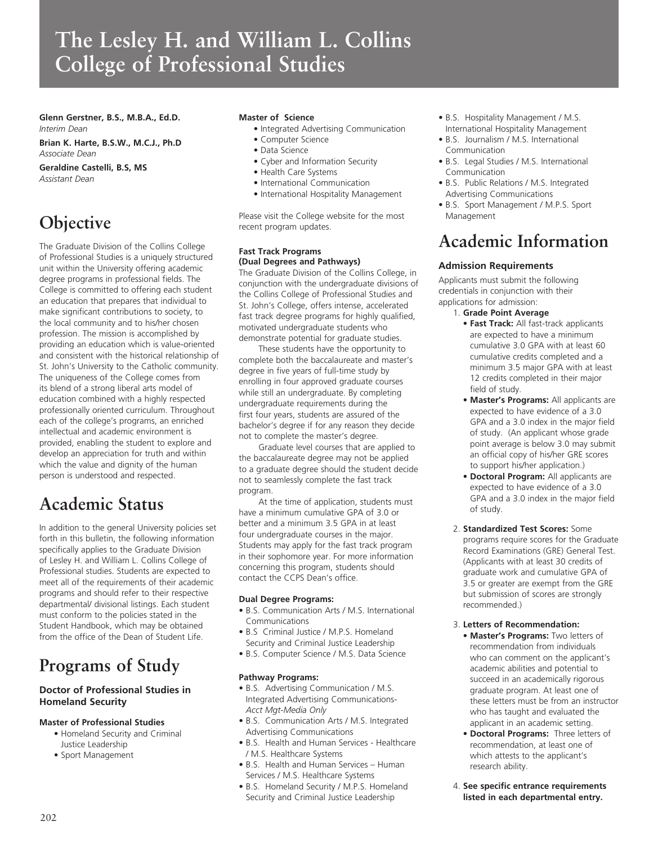# **The Lesley H. and William L. Collins College of Professional Studies**

**Glenn Gerstner, B.S., M.B.A., Ed.D.**  *Interim Dean*

**Brian K. Harte, B.S.W., M.C.J., Ph.D** *Associate Dean*

**Geraldine Castelli, B.S, MS** *Assistant Dean*

# **Objective**

The Graduate Division of the Collins College of Professional Studies is a uniquely structured unit within the University offering academic degree programs in professional fields. The College is committed to offering each student an education that prepares that individual to make significant contributions to society, to the local community and to his/her chosen profession. The mission is accomplished by providing an education which is value-oriented and consistent with the historical relationship of St. John's University to the Catholic community. The uniqueness of the College comes from its blend of a strong liberal arts model of education combined with a highly respected professionally oriented curriculum. Throughout each of the college's programs, an enriched intellectual and academic environment is provided, enabling the student to explore and develop an appreciation for truth and within which the value and dignity of the human person is understood and respected.

## **Academic Status**

In addition to the general University policies set forth in this bulletin, the following information specifically applies to the Graduate Division of Lesley H. and William L. Collins College of Professional studies. Students are expected to meet all of the requirements of their academic programs and should refer to their respective departmental/ divisional listings. Each student must conform to the policies stated in the Student Handbook, which may be obtained from the office of the Dean of Student Life.

# **Programs of Study**

### **Doctor of Professional Studies in Homeland Security**

### **Master of Professional Studies**

- Homeland Security and Criminal Justice Leadership
- Sport Management

### **Master of Science**

- Integrated Advertising Communication
- Computer Science
- Data Science
- Cyber and Information Security
- Health Care Systems
- International Communication
- International Hospitality Management

Please visit the College website for the most recent program updates.

### **Fast Track Programs (Dual Degrees and Pathways)**

The Graduate Division of the Collins College, in conjunction with the undergraduate divisions of the Collins College of Professional Studies and St. John's College, offers intense, accelerated fast track degree programs for highly qualified, motivated undergraduate students who demonstrate potential for graduate studies.

These students have the opportunity to complete both the baccalaureate and master's degree in five years of full-time study by enrolling in four approved graduate courses while still an undergraduate. By completing undergraduate requirements during the first four years, students are assured of the bachelor's degree if for any reason they decide not to complete the master's degree.

Graduate level courses that are applied to the baccalaureate degree may not be applied to a graduate degree should the student decide not to seamlessly complete the fast track program.

At the time of application, students must have a minimum cumulative GPA of 3.0 or better and a minimum 3.5 GPA in at least four undergraduate courses in the major. Students may apply for the fast track program in their sophomore year. For more information concerning this program, students should contact the CCPS Dean's office.

### **Dual Degree Programs:**

- B.S. Communication Arts / M.S. International Communications
- B.S Criminal Justice / M.P.S. Homeland Security and Criminal Justice Leadership
- B.S. Computer Science / M.S. Data Science

### **Pathway Programs:**

- B.S. Advertising Communication / M.S. Integrated Advertising Communications-*Acct Mgt-Media Only*
- B.S. Communication Arts / M.S. Integrated Advertising Communications
- B.S. Health and Human Services Healthcare / M.S. Healthcare Systems
- B.S. Health and Human Services Human Services / M.S. Healthcare Systems
- B.S. Homeland Security / M.P.S. Homeland Security and Criminal Justice Leadership
- B.S. Hospitality Management / M.S. International Hospitality Management
- B.S. Journalism / M.S. International Communication
- B.S. Legal Studies / M.S. International Communication
- B.S. Public Relations / M.S. Integrated Advertising Communications
- B.S. Sport Management / M.P.S. Sport Management

## **Academic Information**

### **Admission Requirements**

Applicants must submit the following credentials in conjunction with their applications for admission:

- 1. **Grade Point Average**
	- **Fast Track:** All fast-track applicants are expected to have a minimum cumulative 3.0 GPA with at least 60 cumulative credits completed and a minimum 3.5 major GPA with at least 12 credits completed in their major field of study.
	- **Master's Programs:** All applicants are expected to have evidence of a 3.0 GPA and a 3.0 index in the major field of study. (An applicant whose grade point average is below 3.0 may submit an official copy of his/her GRE scores to support his/her application.)
	- **Doctoral Program:** All applicants are expected to have evidence of a 3.0 GPA and a 3.0 index in the major field of study.
- 2. **Standardized Test Scores:** Some programs require scores for the Graduate Record Examinations (GRE) General Test. (Applicants with at least 30 credits of graduate work and cumulative GPA of 3.5 or greater are exempt from the GRE but submission of scores are strongly recommended.)

### 3. **Letters of Recommendation:**

- **Master's Programs:** Two letters of recommendation from individuals who can comment on the applicant's academic abilities and potential to succeed in an academically rigorous graduate program. At least one of these letters must be from an instructor who has taught and evaluated the applicant in an academic setting.
- **Doctoral Programs:** Three letters of recommendation, at least one of which attests to the applicant's research ability.
- 4. **See specific entrance requirements listed in each departmental entry.**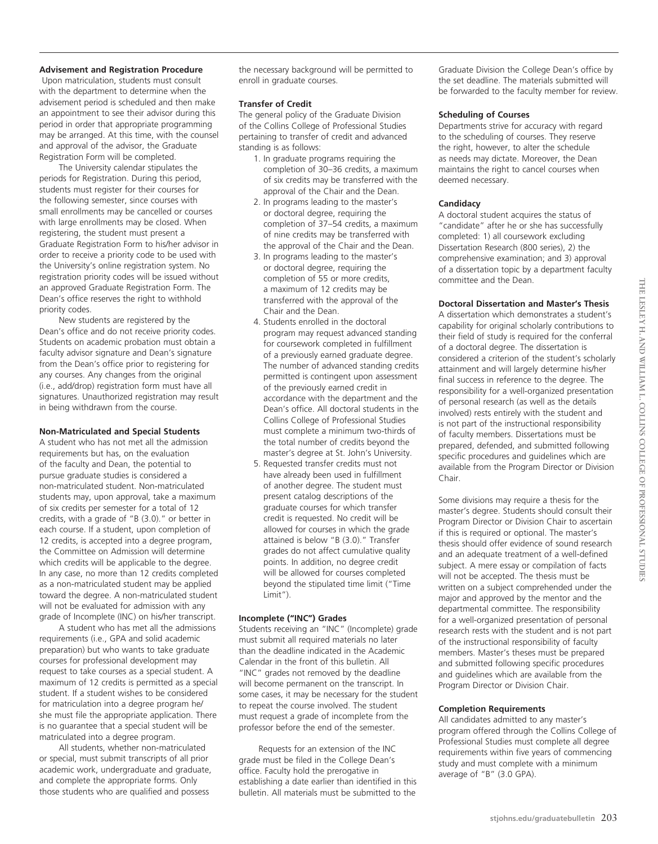### **Advisement and Registration Procedure**

 Upon matriculation, students must consult with the department to determine when the advisement period is scheduled and then make an appointment to see their advisor during this period in order that appropriate programming may be arranged. At this time, with the counsel and approval of the advisor, the Graduate Registration Form will be completed.

The University calendar stipulates the periods for Registration. During this period, students must register for their courses for the following semester, since courses with small enrollments may be cancelled or courses with large enrollments may be closed. When registering, the student must present a Graduate Registration Form to his/her advisor in order to receive a priority code to be used with the University's online registration system. No registration priority codes will be issued without an approved Graduate Registration Form. The Dean's office reserves the right to withhold priority codes.

New students are registered by the Dean's office and do not receive priority codes. Students on academic probation must obtain a faculty advisor signature and Dean's signature from the Dean's office prior to registering for any courses. Any changes from the original (i.e., add/drop) registration form must have all signatures. Unauthorized registration may result in being withdrawn from the course.

### **Non-Matriculated and Special Students**

A student who has not met all the admission requirements but has, on the evaluation of the faculty and Dean, the potential to pursue graduate studies is considered a non-matriculated student. Non-matriculated students may, upon approval, take a maximum of six credits per semester for a total of 12 credits, with a grade of "B (3.0)." or better in each course. If a student, upon completion of 12 credits, is accepted into a degree program, the Committee on Admission will determine which credits will be applicable to the degree. In any case, no more than 12 credits completed as a non-matriculated student may be applied toward the degree. A non-matriculated student will not be evaluated for admission with any grade of Incomplete (INC) on his/her transcript.

A student who has met all the admissions requirements (i.e., GPA and solid academic preparation) but who wants to take graduate courses for professional development may request to take courses as a special student. A maximum of 12 credits is permitted as a special student. If a student wishes to be considered for matriculation into a degree program he/ she must file the appropriate application. There is no guarantee that a special student will be matriculated into a degree program.

All students, whether non-matriculated or special, must submit transcripts of all prior academic work, undergraduate and graduate, and complete the appropriate forms. Only those students who are qualified and possess

the necessary background will be permitted to enroll in graduate courses.

### **Transfer of Credit**

The general policy of the Graduate Division of the Collins College of Professional Studies pertaining to transfer of credit and advanced standing is as follows:

- 1. In graduate programs requiring the completion of 30–36 credits, a maximum of six credits may be transferred with the approval of the Chair and the Dean.
- 2. In programs leading to the master's or doctoral degree, requiring the completion of 37–54 credits, a maximum of nine credits may be transferred with the approval of the Chair and the Dean.
- 3. In programs leading to the master's or doctoral degree, requiring the completion of 55 or more credits, a maximum of 12 credits may be transferred with the approval of the Chair and the Dean.
- 4. Students enrolled in the doctoral program may request advanced standing for coursework completed in fulfillment of a previously earned graduate degree. The number of advanced standing credits permitted is contingent upon assessment of the previously earned credit in accordance with the department and the Dean's office. All doctoral students in the Collins College of Professional Studies must complete a minimum two-thirds of the total number of credits beyond the master's degree at St. John's University.
- 5. Requested transfer credits must not have already been used in fulfillment of another degree. The student must present catalog descriptions of the graduate courses for which transfer credit is requested. No credit will be allowed for courses in which the grade attained is below "B (3.0)." Transfer grades do not affect cumulative quality points. In addition, no degree credit will be allowed for courses completed beyond the stipulated time limit ("Time Limit").

### **Incomplete ("INC") Grades**

Students receiving an "INC" (Incomplete) grade must submit all required materials no later than the deadline indicated in the Academic Calendar in the front of this bulletin. All "INC" grades not removed by the deadline will become permanent on the transcript. In some cases, it may be necessary for the student to repeat the course involved. The student must request a grade of incomplete from the professor before the end of the semester.

Requests for an extension of the INC grade must be filed in the College Dean's office. Faculty hold the prerogative in establishing a date earlier than identified in this bulletin. All materials must be submitted to the

Graduate Division the College Dean's office by the set deadline. The materials submitted will be forwarded to the faculty member for review.

#### **Scheduling of Courses**

Departments strive for accuracy with regard to the scheduling of courses. They reserve the right, however, to alter the schedule as needs may dictate. Moreover, the Dean maintains the right to cancel courses when deemed necessary.

### **Candidacy**

A doctoral student acquires the status of "candidate" after he or she has successfully completed: 1) all coursework excluding Dissertation Research (800 series), 2) the comprehensive examination; and 3) approval of a dissertation topic by a department faculty committee and the Dean.

### **Doctoral Dissertation and Master's Thesis**

A dissertation which demonstrates a student's capability for original scholarly contributions to their field of study is required for the conferral of a doctoral degree. The dissertation is considered a criterion of the student's scholarly attainment and will largely determine his/her final success in reference to the degree. The responsibility for a well-organized presentation of personal research (as well as the details involved) rests entirely with the student and is not part of the instructional responsibility of faculty members. Dissertations must be prepared, defended, and submitted following specific procedures and guidelines which are available from the Program Director or Division Chair.

Some divisions may require a thesis for the master's degree. Students should consult their Program Director or Division Chair to ascertain if this is required or optional. The master's thesis should offer evidence of sound research and an adequate treatment of a well-defined subject. A mere essay or compilation of facts will not be accepted. The thesis must be written on a subject comprehended under the major and approved by the mentor and the departmental committee. The responsibility for a well-organized presentation of personal research rests with the student and is not part of the instructional responsibility of faculty members. Master's theses must be prepared and submitted following specific procedures and guidelines which are available from the Program Director or Division Chair.

### **Completion Requirements**

All candidates admitted to any master's program offered through the Collins College of Professional Studies must complete all degree requirements within five years of commencing study and must complete with a minimum average of "B" (3.0 GPA).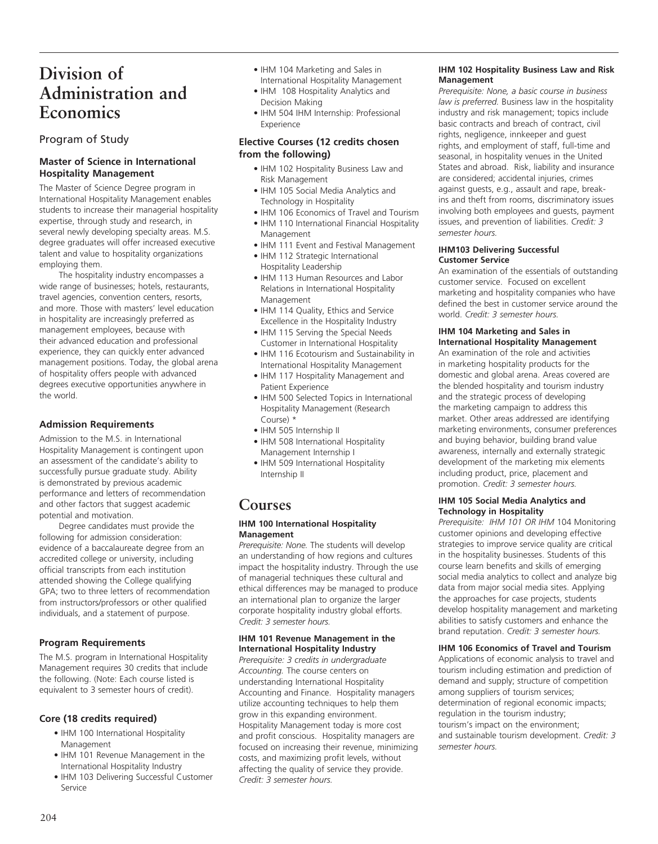## **Division of Administration and Economics**

### Program of Study

### **Master of Science in International Hospitality Management**

The Master of Science Degree program in International Hospitality Management enables students to increase their managerial hospitality expertise, through study and research, in several newly developing specialty areas. M.S. degree graduates will offer increased executive talent and value to hospitality organizations employing them.

The hospitality industry encompasses a wide range of businesses; hotels, restaurants, travel agencies, convention centers, resorts, and more. Those with masters' level education in hospitality are increasingly preferred as management employees, because with their advanced education and professional experience, they can quickly enter advanced management positions. Today, the global arena of hospitality offers people with advanced degrees executive opportunities anywhere in the world.

### **Admission Requirements**

Admission to the M.S. in International Hospitality Management is contingent upon an assessment of the candidate's ability to successfully pursue graduate study. Ability is demonstrated by previous academic performance and letters of recommendation and other factors that suggest academic potential and motivation.

Degree candidates must provide the following for admission consideration: evidence of a baccalaureate degree from an accredited college or university, including official transcripts from each institution attended showing the College qualifying GPA; two to three letters of recommendation from instructors/professors or other qualified individuals, and a statement of purpose.

### **Program Requirements**

The M.S. program in International Hospitality Management requires 30 credits that include the following. (Note: Each course listed is equivalent to 3 semester hours of credit).

### **Core (18 credits required)**

- IHM 100 International Hospitality Management
- IHM 101 Revenue Management in the International Hospitality Industry
- IHM 103 Delivering Successful Customer Service
- IHM 104 Marketing and Sales in International Hospitality Management
- IHM 108 Hospitality Analytics and Decision Making
- IHM 504 IHM Internship: Professional Experience

### **Elective Courses (12 credits chosen from the following)**

- IHM 102 Hospitality Business Law and Risk Management
- IHM 105 Social Media Analytics and Technology in Hospitality
- IHM 106 Economics of Travel and Tourism
- IHM 110 International Financial Hospitality Management
- IHM 111 Event and Festival Management
- IHM 112 Strategic International Hospitality Leadership
- IHM 113 Human Resources and Labor Relations in International Hospitality Management
- IHM 114 Quality, Ethics and Service Excellence in the Hospitality Industry
- IHM 115 Serving the Special Needs Customer in International Hospitality
- IHM 116 Ecotourism and Sustainability in International Hospitality Management
- IHM 117 Hospitality Management and Patient Experience
- IHM 500 Selected Topics in International Hospitality Management (Research Course) \*
- IHM 505 Internship II
- IHM 508 International Hospitality Management Internship I
- IHM 509 International Hospitality Internship II

### **Courses**

### **IHM 100 International Hospitality Management**

*Prerequisite: None.* The students will develop an understanding of how regions and cultures impact the hospitality industry. Through the use of managerial techniques these cultural and ethical differences may be managed to produce an international plan to organize the larger corporate hospitality industry global efforts. *Credit: 3 semester hours.*

### **IHM 101 Revenue Management in the International Hospitality Industry**

*Prerequisite: 3 credits in undergraduate Accounting.* The course centers on understanding International Hospitality Accounting and Finance. Hospitality managers utilize accounting techniques to help them grow in this expanding environment. Hospitality Management today is more cost and profit conscious. Hospitality managers are focused on increasing their revenue, minimizing costs, and maximizing profit levels, without affecting the quality of service they provide. *Credit: 3 semester hours.*

### **IHM 102 Hospitality Business Law and Risk Management**

*Prerequisite: None, a basic course in business law is preferred.* Business law in the hospitality industry and risk management; topics include basic contracts and breach of contract, civil rights, negligence, innkeeper and guest rights, and employment of staff, full-time and seasonal, in hospitality venues in the United States and abroad. Risk, liability and insurance are considered; accidental injuries, crimes against guests, e.g., assault and rape, breakins and theft from rooms, discriminatory issues involving both employees and guests, payment issues, and prevention of liabilities. *Credit: 3 semester hours.*

### **IHM103 Delivering Successful Customer Service**

An examination of the essentials of outstanding customer service. Focused on excellent marketing and hospitality companies who have defined the best in customer service around the world. *Credit: 3 semester hours.*

### **IHM 104 Marketing and Sales in International Hospitality Management**

An examination of the role and activities in marketing hospitality products for the domestic and global arena. Areas covered are the blended hospitality and tourism industry and the strategic process of developing the marketing campaign to address this market. Other areas addressed are identifying marketing environments, consumer preferences and buying behavior, building brand value awareness, internally and externally strategic development of the marketing mix elements including product, price, placement and promotion. *Credit: 3 semester hours.* 

### **IHM 105 Social Media Analytics and Technology in Hospitality**

*Prerequisite: IHM 101 OR IHM* 104 Monitoring customer opinions and developing effective strategies to improve service quality are critical in the hospitality businesses. Students of this course learn benefits and skills of emerging social media analytics to collect and analyze big data from major social media sites. Applying the approaches for case projects, students develop hospitality management and marketing abilities to satisfy customers and enhance the brand reputation. *Credit: 3 semester hours.*

### **IHM 106 Economics of Travel and Tourism**

Applications of economic analysis to travel and tourism including estimation and prediction of demand and supply; structure of competition among suppliers of tourism services; determination of regional economic impacts; regulation in the tourism industry; tourism's impact on the environment; and sustainable tourism development. *Credit: 3 semester hours.*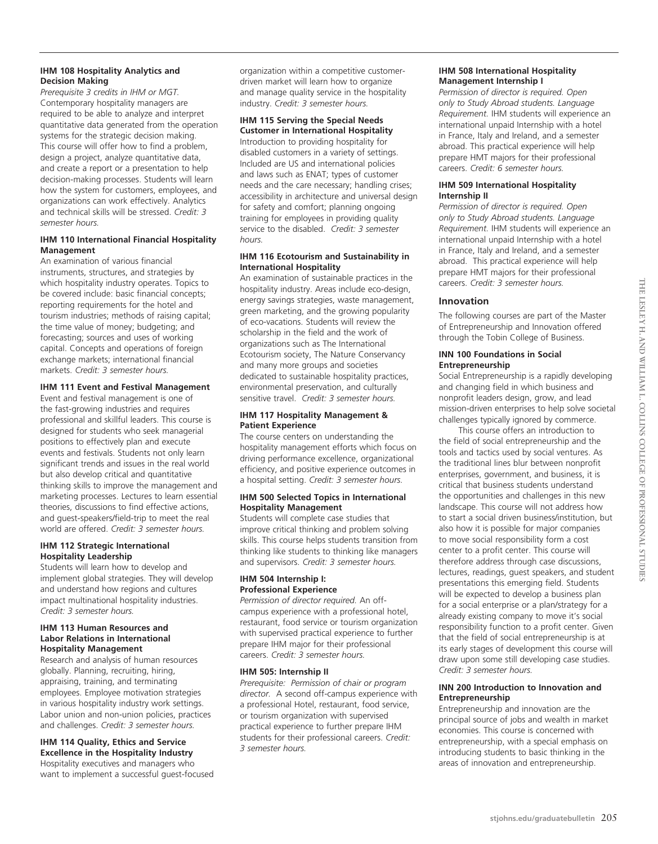### **IHM 108 Hospitality Analytics and Decision Making**

*Prerequisite 3 credits in IHM or MGT.* Contemporary hospitality managers are required to be able to analyze and interpret quantitative data generated from the operation systems for the strategic decision making. This course will offer how to find a problem, design a project, analyze quantitative data, and create a report or a presentation to help decision-making processes. Students will learn how the system for customers, employees, and organizations can work effectively. Analytics and technical skills will be stressed. *Credit: 3 semester hours.* 

### **IHM 110 International Financial Hospitality Management**

An examination of various financial instruments, structures, and strategies by which hospitality industry operates. Topics to be covered include: basic financial concepts; reporting requirements for the hotel and tourism industries; methods of raising capital; the time value of money; budgeting; and forecasting; sources and uses of working capital. Concepts and operations of foreign exchange markets; international financial markets. *Credit: 3 semester hours.*

### **IHM 111 Event and Festival Management**

Event and festival management is one of the fast-growing industries and requires professional and skillful leaders. This course is designed for students who seek managerial positions to effectively plan and execute events and festivals. Students not only learn significant trends and issues in the real world but also develop critical and quantitative thinking skills to improve the management and marketing processes. Lectures to learn essential theories, discussions to find effective actions, and guest-speakers/field-trip to meet the real world are offered. *Credit: 3 semester hours.*

### **IHM 112 Strategic International Hospitality Leadership**

Students will learn how to develop and implement global strategies. They will develop and understand how regions and cultures impact multinational hospitality industries. *Credit: 3 semester hours.*

### **IHM 113 Human Resources and Labor Relations in International Hospitality Management**

Research and analysis of human resources globally. Planning, recruiting, hiring, appraising, training, and terminating employees. Employee motivation strategies in various hospitality industry work settings. Labor union and non-union policies, practices and challenges. *Credit: 3 semester hours.*

### **IHM 114 Quality, Ethics and Service Excellence in the Hospitality Industry**

Hospitality executives and managers who want to implement a successful guest-focused organization within a competitive customerdriven market will learn how to organize and manage quality service in the hospitality industry. *Credit: 3 semester hours.* 

### **IHM 115 Serving the Special Needs**

**Customer in International Hospitality**  Introduction to providing hospitality for disabled customers in a variety of settings. Included are US and international policies and laws such as ENAT; types of customer needs and the care necessary; handling crises; accessibility in architecture and universal design for safety and comfort; planning ongoing training for employees in providing quality service to the disabled. *Credit: 3 semester hours.*

### **IHM 116 Ecotourism and Sustainability in International Hospitality**

An examination of sustainable practices in the hospitality industry. Areas include eco-design, energy savings strategies, waste management, green marketing, and the growing popularity of eco-vacations. Students will review the scholarship in the field and the work of organizations such as The International Ecotourism society, The Nature Conservancy and many more groups and societies dedicated to sustainable hospitality practices, environmental preservation, and culturally sensitive travel. *Credit: 3 semester hours.*

### **IHM 117 Hospitality Management & Patient Experience**

The course centers on understanding the hospitality management efforts which focus on driving performance excellence, organizational efficiency, and positive experience outcomes in a hospital setting. *Credit: 3 semester hours.*

### **IHM 500 Selected Topics in International Hospitality Management**

Students will complete case studies that improve critical thinking and problem solving skills. This course helps students transition from thinking like students to thinking like managers and supervisors. *Credit: 3 semester hours.* 

### **IHM 504 Internship I: Professional Experience**

*Permission of director required.* An offcampus experience with a professional hotel, restaurant, food service or tourism organization with supervised practical experience to further prepare IHM major for their professional careers. *Credit: 3 semester hours.*

### **IHM 505: Internship II**

*Prerequisite: Permission of chair or program director.* A second off-campus experience with a professional Hotel, restaurant, food service, or tourism organization with supervised practical experience to further prepare IHM students for their professional careers. *Credit: 3 semester hours.*

### **IHM 508 International Hospitality Management Internship I**

*Permission of director is required. Open only to Study Abroad students. Language Requirement.* IHM students will experience an international unpaid Internship with a hotel in France, Italy and Ireland, and a semester abroad. This practical experience will help prepare HMT majors for their professional careers. *Credit: 6 semester hours.*

### **IHM 509 International Hospitality Internship II**

*Permission of director is required. Open only to Study Abroad students. Language Requirement.* IHM students will experience an international unpaid Internship with a hotel in France, Italy and Ireland, and a semester abroad. This practical experience will help prepare HMT majors for their professional careers. *Credit: 3 semester hours.*

### **Innovation**

The following courses are part of the Master of Entrepreneurship and Innovation offered through the Tobin College of Business.

### **INN 100 Foundations in Social Entrepreneurship**

Social Entrepreneurship is a rapidly developing and changing field in which business and nonprofit leaders design, grow, and lead mission-driven enterprises to help solve societal challenges typically ignored by commerce.

This course offers an introduction to the field of social entrepreneurship and the tools and tactics used by social ventures. As the traditional lines blur between nonprofit enterprises, government, and business, it is critical that business students understand the opportunities and challenges in this new landscape. This course will not address how to start a social driven business/institution, but also how it is possible for major companies to move social responsibility form a cost center to a profit center. This course will therefore address through case discussions, lectures, readings, guest speakers, and student presentations this emerging field. Students will be expected to develop a business plan for a social enterprise or a plan/strategy for a already existing company to move it's social responsibility function to a profit center. Given that the field of social entrepreneurship is at its early stages of development this course will draw upon some still developing case studies. *Credit: 3 semester hours.*

### **INN 200 Introduction to Innovation and Entrepreneurship**

Entrepreneurship and innovation are the principal source of jobs and wealth in market economies. This course is concerned with entrepreneurship, with a special emphasis on introducing students to basic thinking in the areas of innovation and entrepreneurship.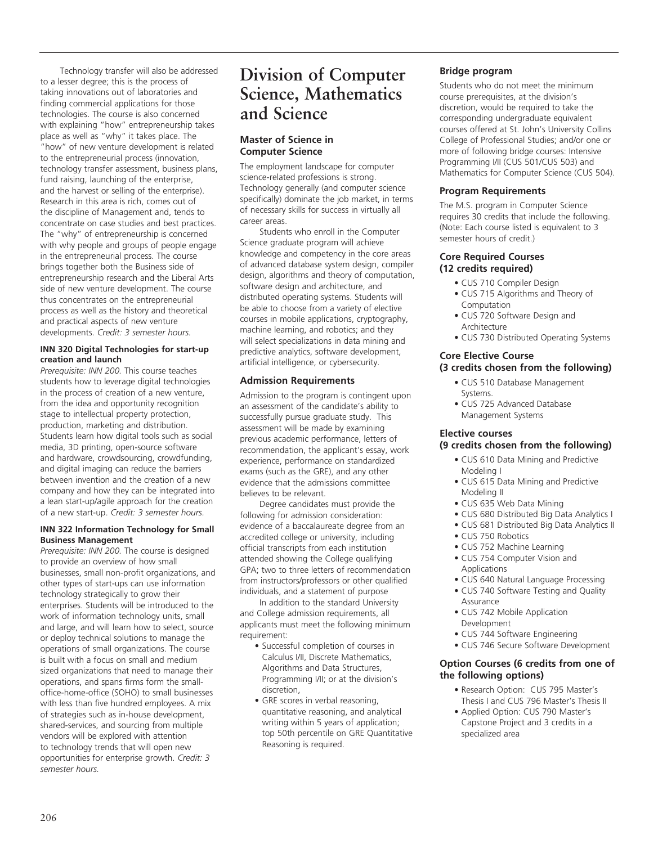Technology transfer will also be addressed to a lesser degree; this is the process of taking innovations out of laboratories and finding commercial applications for those technologies. The course is also concerned with explaining "how" entrepreneurship takes place as well as "why" it takes place. The "how" of new venture development is related to the entrepreneurial process (innovation, technology transfer assessment, business plans, fund raising, launching of the enterprise, and the harvest or selling of the enterprise). Research in this area is rich, comes out of the discipline of Management and, tends to concentrate on case studies and best practices. The "why" of entrepreneurship is concerned with why people and groups of people engage in the entrepreneurial process. The course brings together both the Business side of entrepreneurship research and the Liberal Arts side of new venture development. The course thus concentrates on the entrepreneurial process as well as the history and theoretical and practical aspects of new venture developments. *Credit: 3 semester hours.*

### **INN 320 Digital Technologies for start-up creation and launch**

*Prerequisite: INN 200.* This course teaches students how to leverage digital technologies in the process of creation of a new venture, from the idea and opportunity recognition stage to intellectual property protection, production, marketing and distribution. Students learn how digital tools such as social media, 3D printing, open-source software and hardware, crowdsourcing, crowdfunding, and digital imaging can reduce the barriers between invention and the creation of a new company and how they can be integrated into a lean start-up/agile approach for the creation of a new start-up. *Credit: 3 semester hours.*

### **INN 322 Information Technology for Small Business Management**

*Prerequisite: INN 200.* The course is designed to provide an overview of how small businesses, small non-profit organizations, and other types of start-ups can use information technology strategically to grow their enterprises. Students will be introduced to the work of information technology units, small and large, and will learn how to select, source or deploy technical solutions to manage the operations of small organizations. The course is built with a focus on small and medium sized organizations that need to manage their operations, and spans firms form the smalloffice-home-office (SOHO) to small businesses with less than five hundred employees. A mix of strategies such as in-house development, shared-services, and sourcing from multiple vendors will be explored with attention to technology trends that will open new opportunities for enterprise growth. *Credit: 3 semester hours.*

## **Division of Computer Science, Mathematics and Science**

### **Master of Science in Computer Science**

The employment landscape for computer science-related professions is strong. Technology generally (and computer science specifically) dominate the job market, in terms of necessary skills for success in virtually all career areas.

Students who enroll in the Computer Science graduate program will achieve knowledge and competency in the core areas of advanced database system design, compiler design, algorithms and theory of computation, software design and architecture, and distributed operating systems. Students will be able to choose from a variety of elective courses in mobile applications, cryptography, machine learning, and robotics; and they will select specializations in data mining and predictive analytics, software development, artificial intelligence, or cybersecurity.

### **Admission Requirements**

Admission to the program is contingent upon an assessment of the candidate's ability to successfully pursue graduate study. This assessment will be made by examining previous academic performance, letters of recommendation, the applicant's essay, work experience, performance on standardized exams (such as the GRE), and any other evidence that the admissions committee believes to be relevant.

Degree candidates must provide the following for admission consideration: evidence of a baccalaureate degree from an accredited college or university, including official transcripts from each institution attended showing the College qualifying GPA; two to three letters of recommendation from instructors/professors or other qualified individuals, and a statement of purpose

In addition to the standard University and College admission requirements, all applicants must meet the following minimum requirement:

- Successful completion of courses in Calculus I/II, Discrete Mathematics, Algorithms and Data Structures, Programming I/II; or at the division's discretion,
- GRE scores in verbal reasoning, quantitative reasoning, and analytical writing within 5 years of application; top 50th percentile on GRE Quantitative Reasoning is required.

### **Bridge program**

Students who do not meet the minimum course prerequisites, at the division's discretion, would be required to take the corresponding undergraduate equivalent courses offered at St. John's University Collins College of Professional Studies; and/or one or more of following bridge courses: Intensive Programming I/II (CUS 501/CUS 503) and Mathematics for Computer Science (CUS 504).

### **Program Requirements**

The M.S. program in Computer Science requires 30 credits that include the following. (Note: Each course listed is equivalent to 3 semester hours of credit.)

### **Core Required Courses (12 credits required)**

- CUS 710 Compiler Design
- CUS 715 Algorithms and Theory of Computation
- CUS 720 Software Design and Architecture
- CUS 730 Distributed Operating Systems

### **Core Elective Course (3 credits chosen from the following)**

- CUS 510 Database Management Systems.
- CUS 725 Advanced Database Management Systems

### **Elective courses**

### **(9 credits chosen from the following)**

- CUS 610 Data Mining and Predictive Modeling I
- CUS 615 Data Mining and Predictive Modeling II
- CUS 635 Web Data Mining
- CUS 680 Distributed Big Data Analytics I
- CUS 681 Distributed Big Data Analytics II
- CUS 750 Robotics
- CUS 752 Machine Learning
- CUS 754 Computer Vision and
- Applications
- CUS 640 Natural Language Processing • CUS 740 Software Testing and Quality
- Assurance
- CUS 742 Mobile Application Development
- CUS 744 Software Engineering
- CUS 746 Secure Software Development

### **Option Courses (6 credits from one of the following options)**

- Research Option: CUS 795 Master's Thesis I and CUS 796 Master's Thesis II
- Applied Option: CUS 790 Master's Capstone Project and 3 credits in a specialized area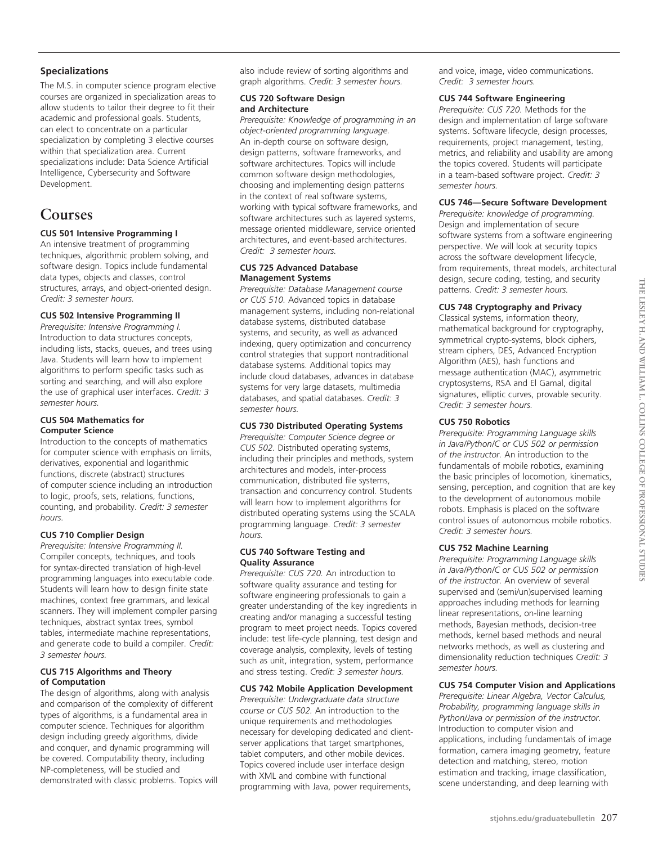The M.S. in computer science program elective courses are organized in specialization areas to allow students to tailor their degree to fit their academic and professional goals. Students, can elect to concentrate on a particular specialization by completing 3 elective courses within that specialization area. Current specializations include: Data Science Artificial Intelligence, Cybersecurity and Software Development.

### **Courses**

### **CUS 501 Intensive Programming I**

An intensive treatment of programming techniques, algorithmic problem solving, and software design. Topics include fundamental data types, objects and classes, control structures, arrays, and object-oriented design. *Credit: 3 semester hours.*

### **CUS 502 Intensive Programming II**

*Prerequisite: Intensive Programming I.* Introduction to data structures concepts, including lists, stacks, queues, and trees using Java. Students will learn how to implement algorithms to perform specific tasks such as sorting and searching, and will also explore the use of graphical user interfaces. *Credit: 3 semester hours.*

### **CUS 504 Mathematics for Computer Science**

Introduction to the concepts of mathematics for computer science with emphasis on limits, derivatives, exponential and logarithmic functions, discrete (abstract) structures of computer science including an introduction to logic, proofs, sets, relations, functions, counting, and probability. *Credit: 3 semester hours.*

### **CUS 710 Complier Design**

*Prerequisite: Intensive Programming II.* Compiler concepts, techniques, and tools for syntax-directed translation of high-level programming languages into executable code. Students will learn how to design finite state machines, context free grammars, and lexical scanners. They will implement compiler parsing techniques, abstract syntax trees, symbol tables, intermediate machine representations, and generate code to build a compiler. *Credit: 3 semester hours.*

### **CUS 715 Algorithms and Theory of Computation**

The design of algorithms, along with analysis and comparison of the complexity of different types of algorithms, is a fundamental area in computer science. Techniques for algorithm design including greedy algorithms, divide and conquer, and dynamic programming will be covered. Computability theory, including NP-completeness, will be studied and demonstrated with classic problems. Topics will also include review of sorting algorithms and graph algorithms. *Credit: 3 semester hours.*

### **CUS 720 Software Design and Architecture**

*Prerequisite: Knowledge of programming in an object-oriented programming language.* An in-depth course on software design, design patterns, software frameworks, and software architectures. Topics will include common software design methodologies, choosing and implementing design patterns in the context of real software systems, working with typical software frameworks, and software architectures such as layered systems, message oriented middleware, service oriented architectures, and event-based architectures. *Credit: 3 semester hours.*

### **CUS 725 Advanced Database Management Systems**

*Prerequisite: Database Management course or CUS 510.* Advanced topics in database management systems, including non-relational database systems, distributed database systems, and security, as well as advanced indexing, query optimization and concurrency control strategies that support nontraditional database systems. Additional topics may include cloud databases, advances in database systems for very large datasets, multimedia databases, and spatial databases. *Credit: 3 semester hours.*

### **CUS 730 Distributed Operating Systems**

*Prerequisite: Computer Science degree or CUS 502.* Distributed operating systems, including their principles and methods, system architectures and models, inter-process communication, distributed file systems, transaction and concurrency control. Students will learn how to implement algorithms for distributed operating systems using the SCALA programming language. *Credit: 3 semester hours.*

### **CUS 740 Software Testing and Quality Assurance**

*Prerequisite: CUS 720.* An introduction to software quality assurance and testing for software engineering professionals to gain a greater understanding of the key ingredients in creating and/or managing a successful testing program to meet project needs. Topics covered include: test life-cycle planning, test design and coverage analysis, complexity, levels of testing such as unit, integration, system, performance and stress testing. *Credit: 3 semester hours.*

### **CUS 742 Mobile Application Development**

*Prerequisite: Undergraduate data structure course or CUS 502.* An introduction to the unique requirements and methodologies necessary for developing dedicated and clientserver applications that target smartphones, tablet computers, and other mobile devices. Topics covered include user interface design with XML and combine with functional programming with Java, power requirements,

and voice, image, video communications. *Credit: 3 semester hours.*

### **CUS 744 Software Engineering**

*Prerequisite: CUS 720.* Methods for the design and implementation of large software systems. Software lifecycle, design processes, requirements, project management, testing, metrics, and reliability and usability are among the topics covered. Students will participate in a team-based software project. *Credit: 3 semester hours.*

### **CUS 746—Secure Software Development**

*Prerequisite: knowledge of programming.*  Design and implementation of secure software systems from a software engineering perspective. We will look at security topics across the software development lifecycle, from requirements, threat models, architectural design, secure coding, testing, and security patterns. *Credit: 3 semester hours.*

### **CUS 748 Cryptography and Privacy**

Classical systems, information theory, mathematical background for cryptography, symmetrical crypto-systems, block ciphers, stream ciphers, DES, Advanced Encryption Algorithm (AES), hash functions and message authentication (MAC), asymmetric cryptosystems, RSA and El Gamal, digital signatures, elliptic curves, provable security. *Credit: 3 semester hours.*

### **CUS 750 Robotics**

*Prerequisite: Programming Language skills in Java/Python/C or CUS 502 or permission of the instructor.* An introduction to the fundamentals of mobile robotics, examining the basic principles of locomotion, kinematics, sensing, perception, and cognition that are key to the development of autonomous mobile robots. Emphasis is placed on the software control issues of autonomous mobile robotics. *Credit: 3 semester hours.*

### **CUS 752 Machine Learning**

*Prerequisite: Programming Language skills in Java/Python/C or CUS 502 or permission of the instructor.* An overview of several supervised and (semi/un)supervised learning approaches including methods for learning linear representations, on-line learning methods, Bayesian methods, decision-tree methods, kernel based methods and neural networks methods, as well as clustering and dimensionality reduction techniques *Credit: 3 semester hours.*

### **CUS 754 Computer Vision and Applications**

*Prerequisite: Linear Algebra, Vector Calculus, Probability, programming language skills in Python/Java or permission of the instructor.*  Introduction to computer vision and applications, including fundamentals of image formation, camera imaging geometry, feature detection and matching, stereo, motion estimation and tracking, image classification, scene understanding, and deep learning with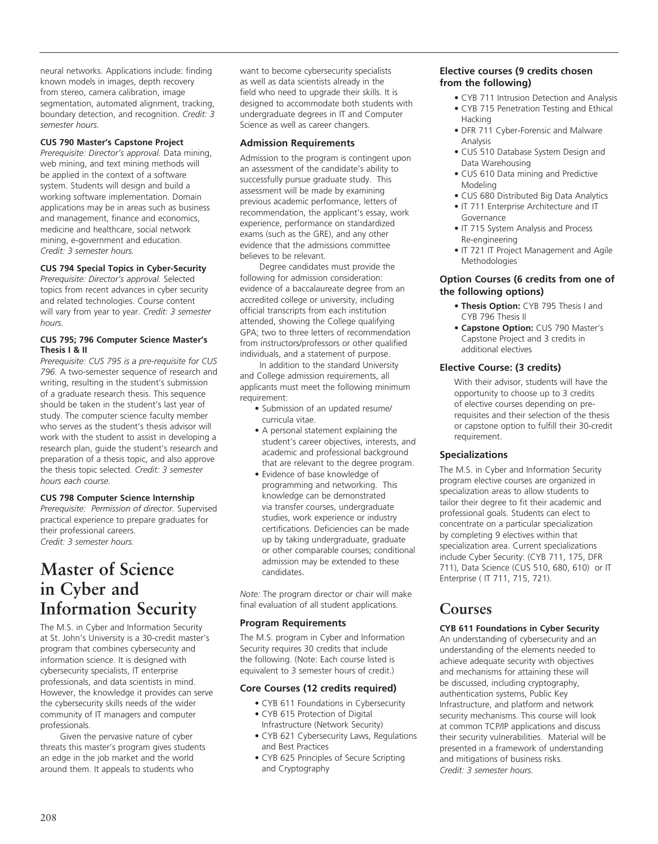neural networks. Applications include: finding known models in images, depth recovery from stereo, camera calibration, image segmentation, automated alignment, tracking, boundary detection, and recognition. *Credit: 3 semester hours.*

### **CUS 790 Master's Capstone Project**

*Prerequisite: Director's approval.* Data mining, web mining, and text mining methods will be applied in the context of a software system. Students will design and build a working software implementation. Domain applications may be in areas such as business and management, finance and economics, medicine and healthcare, social network mining, e-government and education. *Credit: 3 semester hours.*

### **CUS 794 Special Topics in Cyber-Security**

*Prerequisite: Director's approval.* Selected topics from recent advances in cyber security and related technologies. Course content will vary from year to year. *Credit: 3 semester hours.*

### **CUS 795; 796 Computer Science Master's Thesis I & II**

*Prerequisite: CUS 795 is a pre-requisite for CUS 796.* A two-semester sequence of research and writing, resulting in the student's submission of a graduate research thesis. This sequence should be taken in the student's last year of study. The computer science faculty member who serves as the student's thesis advisor will work with the student to assist in developing a research plan, guide the student's research and preparation of a thesis topic, and also approve the thesis topic selected. *Credit: 3 semester hours each course.*

### **CUS 798 Computer Science Internship**

*Prerequisite: Permission of director.* Supervised practical experience to prepare graduates for their professional careers. *Credit: 3 semester hours.*

## **Master of Science in Cyber and Information Security**

The M.S. in Cyber and Information Security at St. John's University is a 30-credit master's program that combines cybersecurity and information science. It is designed with cybersecurity specialists, IT enterprise professionals, and data scientists in mind. However, the knowledge it provides can serve the cybersecurity skills needs of the wider community of IT managers and computer professionals.

Given the pervasive nature of cyber threats this master's program gives students an edge in the job market and the world around them. It appeals to students who

want to become cybersecurity specialists as well as data scientists already in the field who need to upgrade their skills. It is designed to accommodate both students with undergraduate degrees in IT and Computer Science as well as career changers.

### **Admission Requirements**

Admission to the program is contingent upon an assessment of the candidate's ability to successfully pursue graduate study. This assessment will be made by examining previous academic performance, letters of recommendation, the applicant's essay, work experience, performance on standardized exams (such as the GRE), and any other evidence that the admissions committee believes to be relevant.

Degree candidates must provide the following for admission consideration: evidence of a baccalaureate degree from an accredited college or university, including official transcripts from each institution attended, showing the College qualifying GPA; two to three letters of recommendation from instructors/professors or other qualified individuals, and a statement of purpose.

In addition to the standard University and College admission requirements, all applicants must meet the following minimum requirement:

- Submission of an updated resume/ curricula vitae.
- A personal statement explaining the student's career objectives, interests, and academic and professional background that are relevant to the degree program.
- Evidence of base knowledge of programming and networking. This knowledge can be demonstrated via transfer courses, undergraduate studies, work experience or industry certifications. Deficiencies can be made up by taking undergraduate, graduate or other comparable courses; conditional admission may be extended to these candidates.

*Note:* The program director or chair will make final evaluation of all student applications.

### **Program Requirements**

The M.S. program in Cyber and Information Security requires 30 credits that include the following. (Note: Each course listed is equivalent to 3 semester hours of credit.)

### **Core Courses (12 credits required)**

- CYB 611 Foundations in Cybersecurity • CYB 615 Protection of Digital
- Infrastructure (Network Security)
- CYB 621 Cybersecurity Laws, Regulations and Best Practices
- CYB 625 Principles of Secure Scripting and Cryptography

### **Elective courses (9 credits chosen from the following)**

- CYB 711 Intrusion Detection and Analysis
- CYB 715 Penetration Testing and Ethical Hacking
- DFR 711 Cyber-Forensic and Malware Analysis
- CUS 510 Database System Design and Data Warehousing
- CUS 610 Data mining and Predictive Modeling
- CUS 680 Distributed Big Data Analytics
- IT 711 Enterprise Architecture and IT Governance
- IT 715 System Analysis and Process Re-engineering
- IT 721 IT Project Management and Agile Methodologies

### **Option Courses (6 credits from one of the following options)**

- **Thesis Option:** CYB 795 Thesis I and CYB 796 Thesis II
- **Capstone Option:** CUS 790 Master's Capstone Project and 3 credits in additional electives

### **Elective Course: (3 credits)**

With their advisor, students will have the opportunity to choose up to 3 credits of elective courses depending on prerequisites and their selection of the thesis or capstone option to fulfill their 30-credit requirement.

### **Specializations**

The M.S. in Cyber and Information Security program elective courses are organized in specialization areas to allow students to tailor their degree to fit their academic and professional goals. Students can elect to concentrate on a particular specialization by completing 9 electives within that specialization area. Current specializations include Cyber Security: (CYB 711, 175, DFR 711), Data Science (CUS 510, 680, 610) or IT Enterprise ( IT 711, 715, 721).

### **Courses**

### **CYB 611 Foundations in Cyber Security**

An understanding of cybersecurity and an understanding of the elements needed to achieve adequate security with objectives and mechanisms for attaining these will be discussed, including cryptography, authentication systems, Public Key Infrastructure, and platform and network security mechanisms. This course will look at common TCP/IP applications and discuss their security vulnerabilities. Material will be presented in a framework of understanding and mitigations of business risks. *Credit: 3 semester hours.*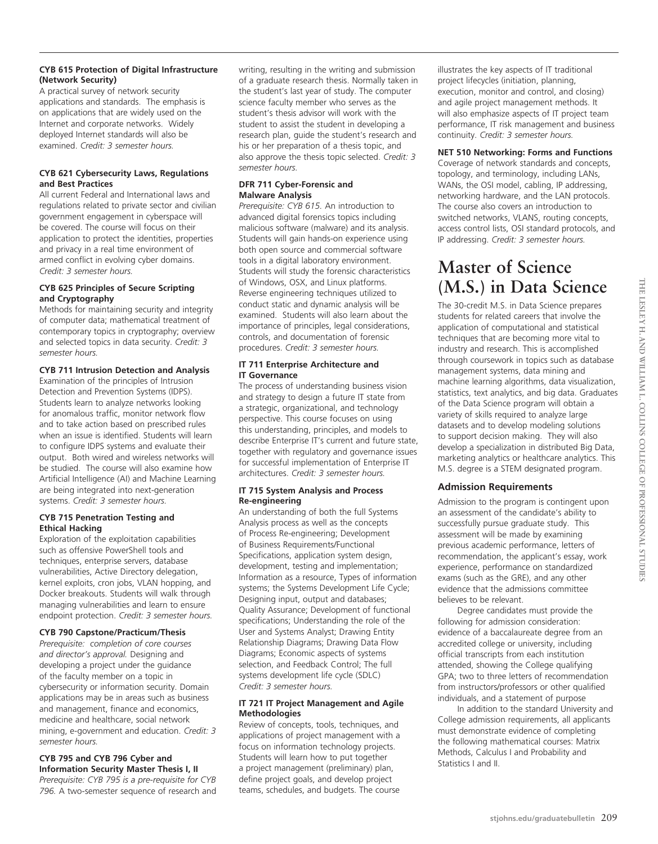### **CYB 615 Protection of Digital Infrastructure (Network Security)**

A practical survey of network security applications and standards. The emphasis is on applications that are widely used on the Internet and corporate networks. Widely deployed Internet standards will also be examined. *Credit: 3 semester hours.*

### **CYB 621 Cybersecurity Laws, Regulations and Best Practices**

All current Federal and International laws and regulations related to private sector and civilian government engagement in cyberspace will be covered. The course will focus on their application to protect the identities, properties and privacy in a real time environment of armed conflict in evolving cyber domains. *Credit: 3 semester hours.*

### **CYB 625 Principles of Secure Scripting and Cryptography**

Methods for maintaining security and integrity of computer data; mathematical treatment of contemporary topics in cryptography; overview and selected topics in data security. *Credit: 3 semester hours.*

### **CYB 711 Intrusion Detection and Analysis**

Examination of the principles of Intrusion Detection and Prevention Systems (IDPS). Students learn to analyze networks looking for anomalous traffic, monitor network flow and to take action based on prescribed rules when an issue is identified. Students will learn to configure IDPS systems and evaluate their output. Both wired and wireless networks will be studied. The course will also examine how Artificial Intelligence (AI) and Machine Learning are being integrated into next-generation systems. *Credit: 3 semester hours.*

### **CYB 715 Penetration Testing and Ethical Hacking**

Exploration of the exploitation capabilities such as offensive PowerShell tools and techniques, enterprise servers, database vulnerabilities, Active Directory delegation, kernel exploits, cron jobs, VLAN hopping, and Docker breakouts. Students will walk through managing vulnerabilities and learn to ensure endpoint protection. *Credit: 3 semester hours.*

### **CYB 790 Capstone/Practicum/Thesis**

*Prerequisite: completion of core courses and director's approval.* Designing and developing a project under the guidance of the faculty member on a topic in cybersecurity or information security. Domain applications may be in areas such as business and management, finance and economics, medicine and healthcare, social network mining, e-government and education. *Credit: 3 semester hours.*

### **CYB 795 and CYB 796 Cyber and Information Security Master Thesis I, II**

*Prerequisite: CYB 795 is a pre-requisite for CYB 796.* A two-semester sequence of research and writing, resulting in the writing and submission of a graduate research thesis. Normally taken in the student's last year of study. The computer science faculty member who serves as the student's thesis advisor will work with the student to assist the student in developing a research plan, guide the student's research and his or her preparation of a thesis topic, and also approve the thesis topic selected. *Credit: 3 semester hours.* 

### **DFR 711 Cyber-Forensic and Malware Analysis**

*Prerequisite: CYB 615.* An introduction to advanced digital forensics topics including malicious software (malware) and its analysis. Students will gain hands-on experience using both open source and commercial software tools in a digital laboratory environment. Students will study the forensic characteristics of Windows, OSX, and Linux platforms. Reverse engineering techniques utilized to conduct static and dynamic analysis will be examined. Students will also learn about the importance of principles, legal considerations, controls, and documentation of forensic procedures. *Credit: 3 semester hours.*

### **IT 711 Enterprise Architecture and IT Governance**

The process of understanding business vision and strategy to design a future IT state from a strategic, organizational, and technology perspective. This course focuses on using this understanding, principles, and models to describe Enterprise IT's current and future state, together with regulatory and governance issues for successful implementation of Enterprise IT architectures. *Credit: 3 semester hours.*

### **IT 715 System Analysis and Process Re-engineering**

An understanding of both the full Systems Analysis process as well as the concepts of Process Re-engineering; Development of Business Requirements/Functional Specifications, application system design, development, testing and implementation; Information as a resource, Types of information systems; the Systems Development Life Cycle; Designing input, output and databases; Quality Assurance; Development of functional specifications; Understanding the role of the User and Systems Analyst; Drawing Entity Relationship Diagrams; Drawing Data Flow Diagrams; Economic aspects of systems selection, and Feedback Control; The full systems development life cycle (SDLC) *Credit: 3 semester hours.*

### **IT 721 IT Project Management and Agile Methodologies**

Review of concepts, tools, techniques, and applications of project management with a focus on information technology projects. Students will learn how to put together a project management (preliminary) plan, define project goals, and develop project teams, schedules, and budgets. The course

illustrates the key aspects of IT traditional project lifecycles (initiation, planning, execution, monitor and control, and closing) and agile project management methods. It will also emphasize aspects of IT project team performance, IT risk management and business continuity. *Credit: 3 semester hours.*

### **NET 510 Networking: Forms and Functions**

Coverage of network standards and concepts, topology, and terminology, including LANs, WANs, the OSI model, cabling, IP addressing, networking hardware, and the LAN protocols. The course also covers an introduction to switched networks, VLANS, routing concepts, access control lists, OSI standard protocols, and IP addressing. *Credit: 3 semester hours.*

## **Master of Science (M.S.) in Data Science**

The 30-credit M.S. in Data Science prepares students for related careers that involve the application of computational and statistical techniques that are becoming more vital to industry and research. This is accomplished through coursework in topics such as database management systems, data mining and machine learning algorithms, data visualization, statistics, text analytics, and big data. Graduates of the Data Science program will obtain a variety of skills required to analyze large datasets and to develop modeling solutions to support decision making. They will also develop a specialization in distributed Big Data, marketing analytics or healthcare analytics. This M.S. degree is a STEM designated program.

### **Admission Requirements**

Admission to the program is contingent upon an assessment of the candidate's ability to successfully pursue graduate study. This assessment will be made by examining previous academic performance, letters of recommendation, the applicant's essay, work experience, performance on standardized exams (such as the GRE), and any other evidence that the admissions committee believes to be relevant.

Degree candidates must provide the following for admission consideration: evidence of a baccalaureate degree from an accredited college or university, including official transcripts from each institution attended, showing the College qualifying GPA; two to three letters of recommendation from instructors/professors or other qualified individuals, and a statement of purpose

In addition to the standard University and College admission requirements, all applicants must demonstrate evidence of completing the following mathematical courses: Matrix Methods, Calculus I and Probability and Statistics I and II.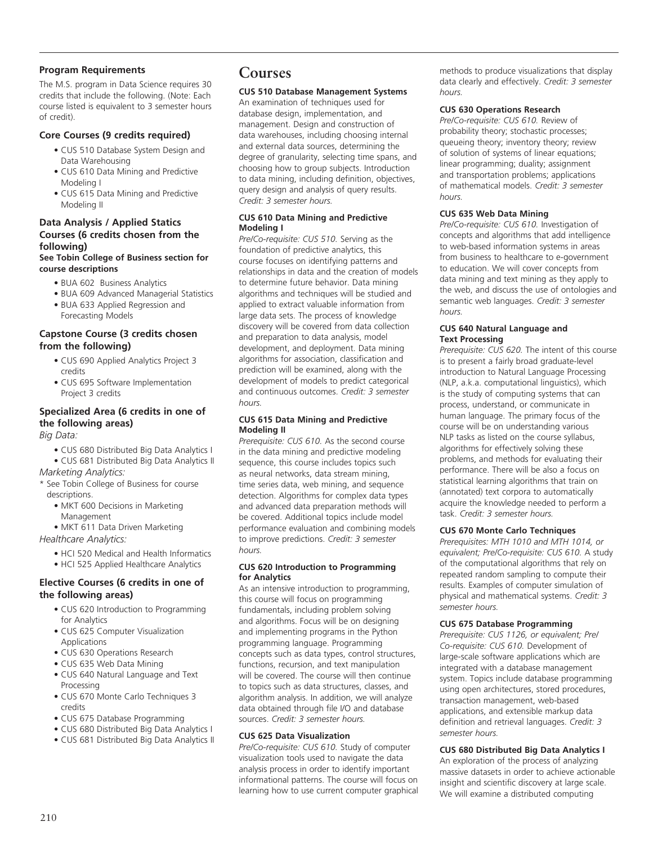### **Program Requirements**

The M.S. program in Data Science requires 30 credits that include the following. (Note: Each course listed is equivalent to 3 semester hours of credit).

### **Core Courses (9 credits required)**

- CUS 510 Database System Design and Data Warehousing
- CUS 610 Data Mining and Predictive Modeling I
- CUS 615 Data Mining and Predictive Modeling II

### **Data Analysis / Applied Statics Courses (6 credits chosen from the following)**

### **See Tobin College of Business section for course descriptions**

- BUA 602 Business Analytics
- BUA 609 Advanced Managerial Statistics • BUA 633 Applied Regression and Forecasting Models
- **Capstone Course (3 credits chosen from the following)**
	- CUS 690 Applied Analytics Project 3 credits
	- CUS 695 Software Implementation Project 3 credits

### **Specialized Area (6 credits in one of the following areas)**

*Big Data:*

• CUS 680 Distributed Big Data Analytics I

• CUS 681 Distributed Big Data Analytics II *Marketing Analytics:*

\* See Tobin College of Business for course descriptions.

- MKT 600 Decisions in Marketing Management
- MKT 611 Data Driven Marketing

*Healthcare Analytics:*

- HCI 520 Medical and Health Informatics
- HCI 525 Applied Healthcare Analytics

### **Elective Courses (6 credits in one of the following areas)**

- CUS 620 Introduction to Programming for Analytics
- CUS 625 Computer Visualization Applications
- CUS 630 Operations Research
- CUS 635 Web Data Mining
- CUS 640 Natural Language and Text Processing
- CUS 670 Monte Carlo Techniques 3 credits
- CUS 675 Database Programming
- CUS 680 Distributed Big Data Analytics I
- CUS 681 Distributed Big Data Analytics II

### **Courses**

### **CUS 510 Database Management Systems**

An examination of techniques used for database design, implementation, and management. Design and construction of data warehouses, including choosing internal and external data sources, determining the degree of granularity, selecting time spans, and choosing how to group subjects. Introduction to data mining, including definition, objectives, query design and analysis of query results. *Credit: 3 semester hours.*

### **CUS 610 Data Mining and Predictive Modeling I**

*Pre/Co-requisite: CUS 510.* Serving as the foundation of predictive analytics, this course focuses on identifying patterns and relationships in data and the creation of models to determine future behavior. Data mining algorithms and techniques will be studied and applied to extract valuable information from large data sets. The process of knowledge discovery will be covered from data collection and preparation to data analysis, model development, and deployment. Data mining algorithms for association, classification and prediction will be examined, along with the development of models to predict categorical and continuous outcomes. *Credit: 3 semester hours.*

### **CUS 615 Data Mining and Predictive Modeling II**

*Prerequisite: CUS 610.* As the second course in the data mining and predictive modeling sequence, this course includes topics such as neural networks, data stream mining, time series data, web mining, and sequence detection. Algorithms for complex data types and advanced data preparation methods will be covered. Additional topics include model performance evaluation and combining models to improve predictions. *Credit: 3 semester hours.*

### **CUS 620 Introduction to Programming for Analytics**

As an intensive introduction to programming, this course will focus on programming fundamentals, including problem solving and algorithms. Focus will be on designing and implementing programs in the Python programming language. Programming concepts such as data types, control structures, functions, recursion, and text manipulation will be covered. The course will then continue to topics such as data structures, classes, and algorithm analysis. In addition, we will analyze data obtained through file I/O and database sources. *Credit: 3 semester hours.*

### **CUS 625 Data Visualization**

*Pre/Co-requisite: CUS 610.* Study of computer visualization tools used to navigate the data analysis process in order to identify important informational patterns. The course will focus on learning how to use current computer graphical methods to produce visualizations that display data clearly and effectively. *Credit: 3 semester hours.*

### **CUS 630 Operations Research**

*Pre/Co-requisite: CUS 610.* Review of probability theory; stochastic processes; queueing theory; inventory theory; review of solution of systems of linear equations; linear programming; duality; assignment and transportation problems; applications of mathematical models. *Credit: 3 semester hours.*

### **CUS 635 Web Data Mining**

*Pre/Co-requisite: CUS 610.* Investigation of concepts and algorithms that add intelligence to web-based information systems in areas from business to healthcare to e-government to education. We will cover concepts from data mining and text mining as they apply to the web, and discuss the use of ontologies and semantic web languages. *Credit: 3 semester hours.*

### **CUS 640 Natural Language and Text Processing**

*Prerequisite: CUS 620.* The intent of this course is to present a fairly broad graduate-level introduction to Natural Language Processing (NLP, a.k.a. computational linguistics), which is the study of computing systems that can process, understand, or communicate in human language. The primary focus of the course will be on understanding various NLP tasks as listed on the course syllabus, algorithms for effectively solving these problems, and methods for evaluating their performance. There will be also a focus on statistical learning algorithms that train on (annotated) text corpora to automatically acquire the knowledge needed to perform a task. *Credit: 3 semester hours.*

### **CUS 670 Monte Carlo Techniques**

*Prerequisites: MTH 1010 and MTH 1014, or equivalent; Pre/Co-requisite: CUS 610.* A study of the computational algorithms that rely on repeated random sampling to compute their results. Examples of computer simulation of physical and mathematical systems. *Credit: 3 semester hours.*

### **CUS 675 Database Programming**

*Prerequisite: CUS 1126, or equivalent; Pre/ Co-requisite: CUS 610.* Development of large-scale software applications which are integrated with a database management system. Topics include database programming using open architectures, stored procedures, transaction management, web-based applications, and extensible markup data definition and retrieval languages. *Credit: 3 semester hours.*

### **CUS 680 Distributed Big Data Analytics I**

An exploration of the process of analyzing massive datasets in order to achieve actionable insight and scientific discovery at large scale. We will examine a distributed computing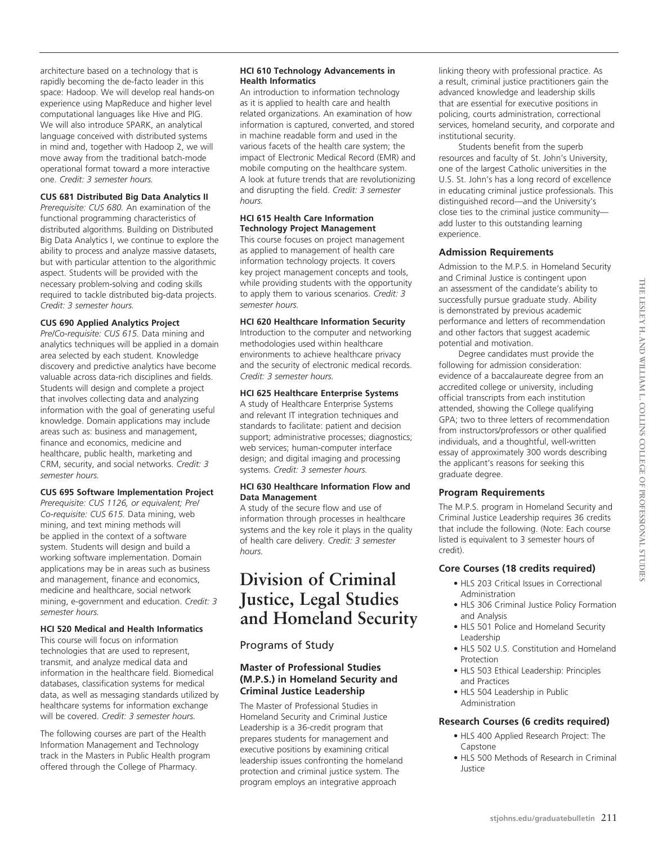architecture based on a technology that is rapidly becoming the de-facto leader in this space: Hadoop. We will develop real hands-on experience using MapReduce and higher level computational languages like Hive and PIG. We will also introduce SPARK, an analytical language conceived with distributed systems in mind and, together with Hadoop 2, we will move away from the traditional batch-mode operational format toward a more interactive one. *Credit: 3 semester hours.*

### **CUS 681 Distributed Big Data Analytics II**

*Prerequisite: CUS 680.* An examination of the functional programming characteristics of distributed algorithms. Building on Distributed Big Data Analytics I, we continue to explore the ability to process and analyze massive datasets, but with particular attention to the algorithmic aspect. Students will be provided with the necessary problem-solving and coding skills required to tackle distributed big-data projects. *Credit: 3 semester hours.*

### **CUS 690 Applied Analytics Project**

*Pre/Co-requisite: CUS 615.* Data mining and analytics techniques will be applied in a domain area selected by each student. Knowledge discovery and predictive analytics have become valuable across data-rich disciplines and fields. Students will design and complete a project that involves collecting data and analyzing information with the goal of generating useful knowledge. Domain applications may include areas such as: business and management, finance and economics, medicine and healthcare, public health, marketing and CRM, security, and social networks. *Credit: 3 semester hours.*

### **CUS 695 Software Implementation Project**

*Prerequisite: CUS 1126, or equivalent; Pre/ Co-requisite: CUS 615.* Data mining, web mining, and text mining methods will be applied in the context of a software system. Students will design and build a working software implementation. Domain applications may be in areas such as business and management, finance and economics, medicine and healthcare, social network mining, e-government and education. *Credit: 3 semester hours.*

### **HCI 520 Medical and Health Informatics**

This course will focus on information technologies that are used to represent, transmit, and analyze medical data and information in the healthcare field. Biomedical databases, classification systems for medical data, as well as messaging standards utilized by healthcare systems for information exchange will be covered. *Credit: 3 semester hours.*

The following courses are part of the Health Information Management and Technology track in the Masters in Public Health program offered through the College of Pharmacy.

### **HCI 610 Technology Advancements in Health Informatics**

An introduction to information technology as it is applied to health care and health related organizations. An examination of how information is captured, converted, and stored in machine readable form and used in the various facets of the health care system; the impact of Electronic Medical Record (EMR) and mobile computing on the healthcare system. A look at future trends that are revolutionizing and disrupting the field. *Credit: 3 semester hours.* 

### **HCI 615 Health Care Information Technology Project Management**

This course focuses on project management as applied to management of health care information technology projects. It covers key project management concepts and tools, while providing students with the opportunity to apply them to various scenarios. *Credit: 3 semester hours.*

### **HCI 620 Healthcare Information Security**

Introduction to the computer and networking methodologies used within healthcare environments to achieve healthcare privacy and the security of electronic medical records. *Credit: 3 semester hours.*

### **HCI 625 Healthcare Enterprise Systems**

A study of Healthcare Enterprise Systems and relevant IT integration techniques and standards to facilitate: patient and decision support; administrative processes; diagnostics; web services; human-computer interface design; and digital imaging and processing systems. *Credit: 3 semester hours.*

### **HCI 630 Healthcare Information Flow and Data Management**

A study of the secure flow and use of information through processes in healthcare systems and the key role it plays in the quality of health care delivery. *Credit: 3 semester hours.*

## **Division of Criminal Justice, Legal Studies and Homeland Security**

### Programs of Study

### **Master of Professional Studies (M.P.S.) in Homeland Security and Criminal Justice Leadership**

The Master of Professional Studies in Homeland Security and Criminal Justice Leadership is a 36-credit program that prepares students for management and executive positions by examining critical leadership issues confronting the homeland protection and criminal justice system. The program employs an integrative approach

linking theory with professional practice. As a result, criminal justice practitioners gain the advanced knowledge and leadership skills that are essential for executive positions in policing, courts administration, correctional services, homeland security, and corporate and institutional security.

Students benefit from the superb resources and faculty of St. John's University, one of the largest Catholic universities in the U.S. St. John's has a long record of excellence in educating criminal justice professionals. This distinguished record—and the University's close ties to the criminal justice community add luster to this outstanding learning experience.

### **Admission Requirements**

Admission to the M.P.S. in Homeland Security and Criminal Justice is contingent upon an assessment of the candidate's ability to successfully pursue graduate study. Ability is demonstrated by previous academic performance and letters of recommendation and other factors that suggest academic potential and motivation.

Degree candidates must provide the following for admission consideration: evidence of a baccalaureate degree from an accredited college or university, including official transcripts from each institution attended, showing the College qualifying GPA; two to three letters of recommendation from instructors/professors or other qualified individuals, and a thoughtful, well-written essay of approximately 300 words describing the applicant's reasons for seeking this graduate degree.

### **Program Requirements**

The M.P.S. program in Homeland Security and Criminal Justice Leadership requires 36 credits that include the following. (Note: Each course listed is equivalent to 3 semester hours of credit).

### **Core Courses (18 credits required)**

- HLS 203 Critical Issues in Correctional Administration
- HLS 306 Criminal Justice Policy Formation and Analysis
- HLS 501 Police and Homeland Security Leadership
- HLS 502 U.S. Constitution and Homeland Protection
- HLS 503 Ethical Leadership: Principles and Practices
- HLS 504 Leadership in Public Administration

### **Research Courses (6 credits required)**

- HLS 400 Applied Research Project: The Capstone
- HLS 500 Methods of Research in Criminal Justice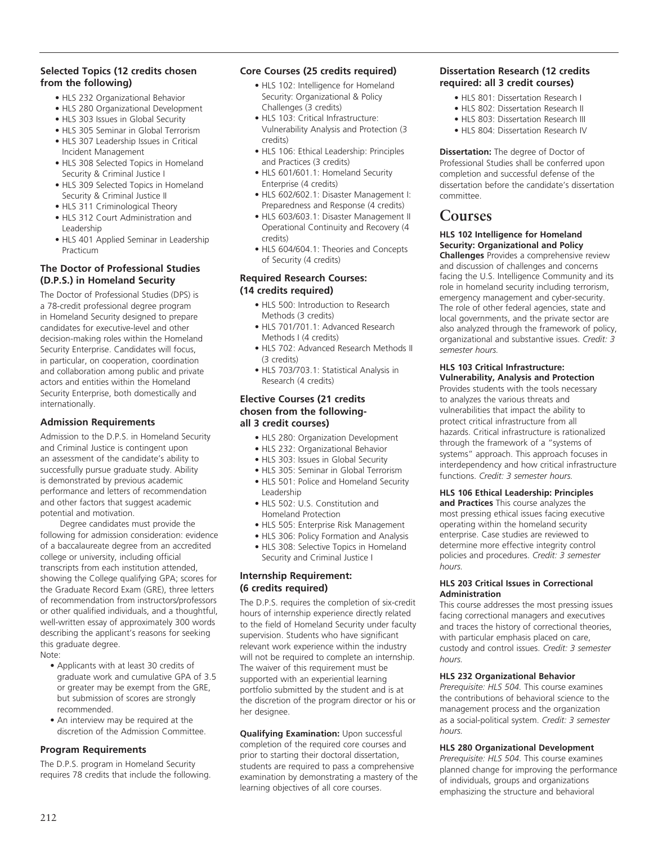### **Selected Topics (12 credits chosen from the following)**

- HLS 232 Organizational Behavior
- HLS 280 Organizational Development
- HLS 303 Issues in Global Security
- HLS 305 Seminar in Global Terrorism
- HLS 307 Leadership Issues in Critical Incident Management
- HLS 308 Selected Topics in Homeland Security & Criminal Justice I
- HLS 309 Selected Topics in Homeland Security & Criminal Justice II
- HLS 311 Criminological Theory
- HLS 312 Court Administration and Leadership
- HLS 401 Applied Seminar in Leadership Practicum

### **The Doctor of Professional Studies (D.P.S.) in Homeland Security**

The Doctor of Professional Studies (DPS) is a 78-credit professional degree program in Homeland Security designed to prepare candidates for executive-level and other decision-making roles within the Homeland Security Enterprise. Candidates will focus, in particular, on cooperation, coordination and collaboration among public and private actors and entities within the Homeland Security Enterprise, both domestically and internationally.

### **Admission Requirements**

Admission to the D.P.S. in Homeland Security and Criminal Justice is contingent upon an assessment of the candidate's ability to successfully pursue graduate study. Ability is demonstrated by previous academic performance and letters of recommendation and other factors that suggest academic potential and motivation.

Degree candidates must provide the following for admission consideration: evidence of a baccalaureate degree from an accredited college or university, including official transcripts from each institution attended, showing the College qualifying GPA; scores for the Graduate Record Exam (GRE), three letters of recommendation from instructors/professors or other qualified individuals, and a thoughtful, well-written essay of approximately 300 words describing the applicant's reasons for seeking this graduate degree. Note:

- Applicants with at least 30 credits of graduate work and cumulative GPA of 3.5 or greater may be exempt from the GRE, but submission of scores are strongly
- recommended. • An interview may be required at the discretion of the Admission Committee.

### **Program Requirements**

The D.P.S. program in Homeland Security requires 78 credits that include the following.

### **Core Courses (25 credits required)**

- HLS 102: Intelligence for Homeland Security: Organizational & Policy Challenges (3 credits)
- HLS 103: Critical Infrastructure: Vulnerability Analysis and Protection (3 credits)
- HLS 106: Ethical Leadership: Principles and Practices (3 credits)
- HLS 601/601.1: Homeland Security Enterprise (4 credits)
- HLS 602/602.1: Disaster Management I: Preparedness and Response (4 credits)
- HLS 603/603.1: Disaster Management II Operational Continuity and Recovery (4 credits)
- HLS 604/604.1: Theories and Concepts of Security (4 credits)

### **Required Research Courses: (14 credits required)**

- HLS 500: Introduction to Research Methods (3 credits)
- HLS 701/701.1: Advanced Research Methods I (4 credits)
- HLS 702: Advanced Research Methods II (3 credits)
- HLS 703/703.1: Statistical Analysis in Research (4 credits)

### **Elective Courses (21 credits chosen from the followingall 3 credit courses)**

- HLS 280: Organization Development
- HLS 232: Organizational Behavior
- HLS 303: Issues in Global Security
- HLS 305: Seminar in Global Terrorism
- HLS 501: Police and Homeland Security Leadership
- HLS 502: U.S. Constitution and Homeland Protection
- HLS 505: Enterprise Risk Management
- HLS 306: Policy Formation and Analysis
- HLS 308: Selective Topics in Homeland Security and Criminal Justice I

### **Internship Requirement: (6 credits required)**

The D.P.S. requires the completion of six-credit hours of internship experience directly related to the field of Homeland Security under faculty supervision. Students who have significant relevant work experience within the industry will not be required to complete an internship. The waiver of this requirement must be supported with an experiential learning portfolio submitted by the student and is at the discretion of the program director or his or her designee.

**Qualifying Examination:** Upon successful completion of the required core courses and prior to starting their doctoral dissertation, students are required to pass a comprehensive examination by demonstrating a mastery of the learning objectives of all core courses.

### **Dissertation Research (12 credits required: all 3 credit courses)**

- HLS 801: Dissertation Research I
- HLS 802: Dissertation Research II • HLS 803: Dissertation Research III
- HLS 804: Dissertation Research IV

**Dissertation:** The degree of Doctor of Professional Studies shall be conferred upon completion and successful defense of the dissertation before the candidate's dissertation committee.

### **Courses**

### **HLS 102 Intelligence for Homeland Security: Organizational and Policy**

**Challenges** Provides a comprehensive review and discussion of challenges and concerns facing the U.S. Intelligence Community and its role in homeland security including terrorism, emergency management and cyber-security. The role of other federal agencies, state and local governments, and the private sector are also analyzed through the framework of policy, organizational and substantive issues. *Credit: 3 semester hours.*

### **HLS 103 Critical Infrastructure: Vulnerability, Analysis and Protection**

Provides students with the tools necessary to analyzes the various threats and vulnerabilities that impact the ability to protect critical infrastructure from all hazards. Critical infrastructure is rationalized through the framework of a "systems of systems" approach. This approach focuses in interdependency and how critical infrastructure functions. *Credit: 3 semester hours.*

### **HLS 106 Ethical Leadership: Principles**

**and Practices** This course analyzes the most pressing ethical issues facing executive operating within the homeland security enterprise. Case studies are reviewed to determine more effective integrity control policies and procedures. *Credit: 3 semester hours.*

### **HLS 203 Critical Issues in Correctional Administration**

This course addresses the most pressing issues facing correctional managers and executives and traces the history of correctional theories, with particular emphasis placed on care, custody and control issues. *Credit: 3 semester hours.* 

### **HLS 232 Organizational Behavior**

*Prerequisite: HLS 504.* This course examines the contributions of behavioral science to the management process and the organization as a social-political system. *Credit: 3 semester hours.* 

### **HLS 280 Organizational Development**

*Prerequisite: HLS 504.* This course examines planned change for improving the performance of individuals, groups and organizations emphasizing the structure and behavioral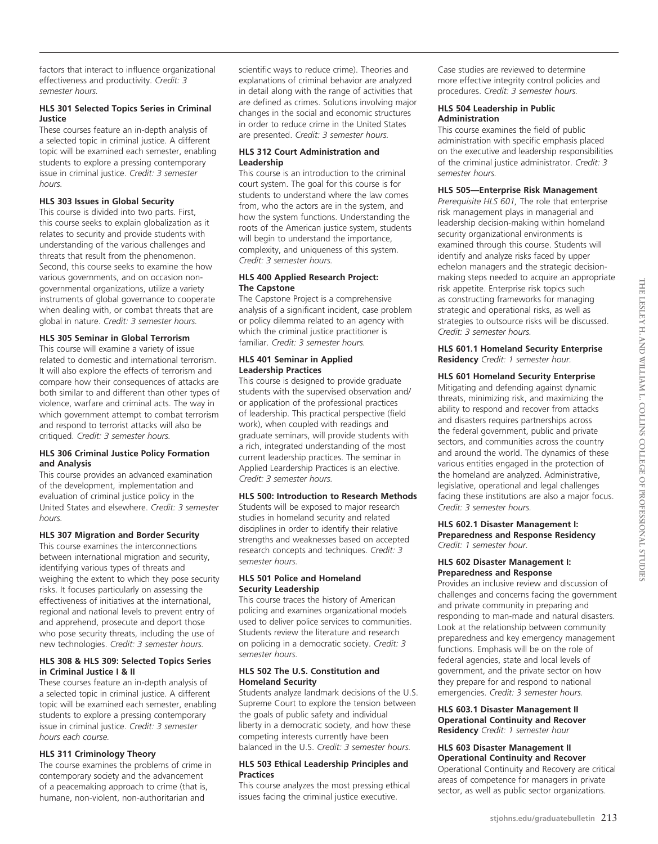### **HLS 301 Selected Topics Series in Criminal Justice**

These courses feature an in-depth analysis of a selected topic in criminal justice. A different topic will be examined each semester, enabling students to explore a pressing contemporary issue in criminal justice. *Credit: 3 semester hours.*

### **HLS 303 Issues in Global Security**

This course is divided into two parts. First, this course seeks to explain globalization as it relates to security and provide students with understanding of the various challenges and threats that result from the phenomenon. Second, this course seeks to examine the how various governments, and on occasion nongovernmental organizations, utilize a variety instruments of global governance to cooperate when dealing with, or combat threats that are global in nature. *Credit: 3 semester hours.*

### **HLS 305 Seminar in Global Terrorism**

This course will examine a variety of issue related to domestic and international terrorism. It will also explore the effects of terrorism and compare how their consequences of attacks are both similar to and different than other types of violence, warfare and criminal acts. The way in which government attempt to combat terrorism and respond to terrorist attacks will also be critiqued. *Credit: 3 semester hours.*

### **HLS 306 Criminal Justice Policy Formation and Analysis**

This course provides an advanced examination of the development, implementation and evaluation of criminal justice policy in the United States and elsewhere. *Credit: 3 semester hours.* 

### **HLS 307 Migration and Border Security**

This course examines the interconnections between international migration and security, identifying various types of threats and weighing the extent to which they pose security risks. It focuses particularly on assessing the effectiveness of initiatives at the international, regional and national levels to prevent entry of and apprehend, prosecute and deport those who pose security threats, including the use of new technologies. *Credit: 3 semester hours.*

### **HLS 308 & HLS 309: Selected Topics Series in Criminal Justice I & II**

These courses feature an in-depth analysis of a selected topic in criminal justice. A different topic will be examined each semester, enabling students to explore a pressing contemporary issue in criminal justice. *Credit: 3 semester hours each course.*

### **HLS 311 Criminology Theory**

The course examines the problems of crime in contemporary society and the advancement of a peacemaking approach to crime (that is, humane, non-violent, non-authoritarian and

scientific ways to reduce crime). Theories and explanations of criminal behavior are analyzed in detail along with the range of activities that are defined as crimes. Solutions involving major changes in the social and economic structures in order to reduce crime in the United States are presented. *Credit: 3 semester hours.*

### **HLS 312 Court Administration and Leadership**

This course is an introduction to the criminal court system. The goal for this course is for students to understand where the law comes from, who the actors are in the system, and how the system functions. Understanding the roots of the American justice system, students will begin to understand the importance, complexity, and uniqueness of this system. *Credit: 3 semester hours.*

### **HLS 400 Applied Research Project: The Capstone**

The Capstone Project is a comprehensive analysis of a significant incident, case problem or policy dilemma related to an agency with which the criminal justice practitioner is familiar. *Credit: 3 semester hours.*

### **HLS 401 Seminar in Applied Leadership Practices**

This course is designed to provide graduate students with the supervised observation and/ or application of the professional practices of leadership. This practical perspective (field work), when coupled with readings and graduate seminars, will provide students with a rich, integrated understanding of the most current leadership practices. The seminar in Applied Leardership Practices is an elective. *Credit: 3 semester hours.*

### **HLS 500: Introduction to Research Methods**

Students will be exposed to major research studies in homeland security and related disciplines in order to identify their relative strengths and weaknesses based on accepted research concepts and techniques. *Credit: 3 semester hours.*

### **HLS 501 Police and Homeland Security Leadership**

This course traces the history of American policing and examines organizational models used to deliver police services to communities. Students review the literature and research on policing in a democratic society. *Credit: 3 semester hours.* 

### **HLS 502 The U.S. Constitution and Homeland Security**

Students analyze landmark decisions of the U.S. Supreme Court to explore the tension between the goals of public safety and individual liberty in a democratic society, and how these competing interests currently have been balanced in the U.S. *Credit: 3 semester hours.* 

### **HLS 503 Ethical Leadership Principles and Practices**

This course analyzes the most pressing ethical issues facing the criminal justice executive.

Case studies are reviewed to determine more effective integrity control policies and procedures. *Credit: 3 semester hours.*

### **HLS 504 Leadership in Public Administration**

This course examines the field of public administration with specific emphasis placed on the executive and leadership responsibilities of the criminal justice administrator. *Credit: 3 semester hours.*

### **HLS 505—Enterprise Risk Management**

*Prerequisite HLS 601,* The role that enterprise risk management plays in managerial and leadership decision-making within homeland security organizational environments is examined through this course. Students will identify and analyze risks faced by upper echelon managers and the strategic decisionmaking steps needed to acquire an appropriate risk appetite. Enterprise risk topics such as constructing frameworks for managing strategic and operational risks, as well as strategies to outsource risks will be discussed. *Credit: 3 semester hours.*

**HLS 601.1 Homeland Security Enterprise Residency** *Credit: 1 semester hour.*

### **HLS 601 Homeland Security Enterprise**

Mitigating and defending against dynamic threats, minimizing risk, and maximizing the ability to respond and recover from attacks and disasters requires partnerships across the federal government, public and private sectors, and communities across the country and around the world. The dynamics of these various entities engaged in the protection of the homeland are analyzed. Administrative, legislative, operational and legal challenges facing these institutions are also a major focus. *Credit: 3 semester hours.*

### **HLS 602.1 Disaster Management I: Preparedness and Response Residency**  *Credit: 1 semester hour.*

### **HLS 602 Disaster Management I: Preparedness and Response**

Provides an inclusive review and discussion of challenges and concerns facing the government and private community in preparing and responding to man-made and natural disasters. Look at the relationship between community preparedness and key emergency management functions. Emphasis will be on the role of federal agencies, state and local levels of government, and the private sector on how they prepare for and respond to national emergencies. *Credit: 3 semester hours.*

#### **HLS 603.1 Disaster Management II Operational Continuity and Recover Residency** *Credit: 1 semester hour*

### **HLS 603 Disaster Management II Operational Continuity and Recover**

Operational Continuity and Recovery are critical areas of competence for managers in private sector, as well as public sector organizations.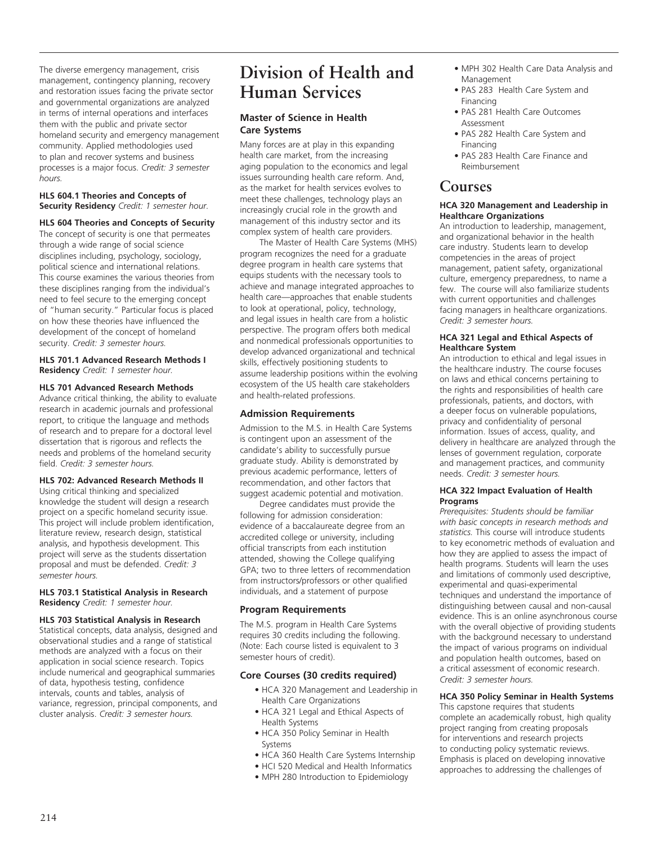The diverse emergency management, crisis management, contingency planning, recovery and restoration issues facing the private sector and governmental organizations are analyzed in terms of internal operations and interfaces them with the public and private sector homeland security and emergency management community. Applied methodologies used to plan and recover systems and business processes is a major focus. *Credit: 3 semester hours.*

### **HLS 604.1 Theories and Concepts of Security Residency** *Credit: 1 semester hour.*

### **HLS 604 Theories and Concepts of Security**

The concept of security is one that permeates through a wide range of social science disciplines including, psychology, sociology, political science and international relations. This course examines the various theories from these disciplines ranging from the individual's need to feel secure to the emerging concept of "human security." Particular focus is placed on how these theories have influenced the development of the concept of homeland security. *Credit: 3 semester hours.*

### **HLS 701.1 Advanced Research Methods I Residency** *Credit: 1 semester hour.*

#### **HLS 701 Advanced Research Methods**

Advance critical thinking, the ability to evaluate research in academic journals and professional report, to critique the language and methods of research and to prepare for a doctoral level dissertation that is rigorous and reflects the needs and problems of the homeland security field. *Credit: 3 semester hours.*

### **HLS 702: Advanced Research Methods II**

Using critical thinking and specialized knowledge the student will design a research project on a specific homeland security issue. This project will include problem identification, literature review, research design, statistical analysis, and hypothesis development. This project will serve as the students dissertation proposal and must be defended. *Credit: 3 semester hours.*

#### **HLS 703.1 Statistical Analysis in Research Residency** *Credit: 1 semester hour.*

### **HLS 703 Statistical Analysis in Research**

Statistical concepts, data analysis, designed and observational studies and a range of statistical methods are analyzed with a focus on their application in social science research. Topics include numerical and geographical summaries of data, hypothesis testing, confidence intervals, counts and tables, analysis of variance, regression, principal components, and cluster analysis. *Credit: 3 semester hours.*

## **Division of Health and Human Services**

### **Master of Science in Health Care Systems**

Many forces are at play in this expanding health care market, from the increasing aging population to the economics and legal issues surrounding health care reform. And, as the market for health services evolves to meet these challenges, technology plays an increasingly crucial role in the growth and management of this industry sector and its complex system of health care providers.

The Master of Health Care Systems (MHS) program recognizes the need for a graduate degree program in health care systems that equips students with the necessary tools to achieve and manage integrated approaches to health care—approaches that enable students to look at operational, policy, technology, and legal issues in health care from a holistic perspective. The program offers both medical and nonmedical professionals opportunities to develop advanced organizational and technical skills, effectively positioning students to assume leadership positions within the evolving ecosystem of the US health care stakeholders and health-related professions.

### **Admission Requirements**

Admission to the M.S. in Health Care Systems is contingent upon an assessment of the candidate's ability to successfully pursue graduate study. Ability is demonstrated by previous academic performance, letters of recommendation, and other factors that suggest academic potential and motivation.

Degree candidates must provide the following for admission consideration: evidence of a baccalaureate degree from an accredited college or university, including official transcripts from each institution attended, showing the College qualifying GPA; two to three letters of recommendation from instructors/professors or other qualified individuals, and a statement of purpose

### **Program Requirements**

The M.S. program in Health Care Systems requires 30 credits including the following. (Note: Each course listed is equivalent to 3 semester hours of credit).

### **Core Courses (30 credits required)**

- HCA 320 Management and Leadership in Health Care Organizations
- HCA 321 Legal and Ethical Aspects of Health Systems
- HCA 350 Policy Seminar in Health Systems
- HCA 360 Health Care Systems Internship
- HCI 520 Medical and Health Informatics
- MPH 280 Introduction to Epidemiology
- MPH 302 Health Care Data Analysis and Management
- PAS 283 Health Care System and Financing
- PAS 281 Health Care Outcomes Assessment
- PAS 282 Health Care System and Financing
- PAS 283 Health Care Finance and Reimbursement

### **Courses**

### **HCA 320 Management and Leadership in Healthcare Organizations**

An introduction to leadership, management, and organizational behavior in the health care industry. Students learn to develop competencies in the areas of project management, patient safety, organizational culture, emergency preparedness, to name a few. The course will also familiarize students with current opportunities and challenges facing managers in healthcare organizations. *Credit: 3 semester hours.*

### **HCA 321 Legal and Ethical Aspects of Healthcare System**

An introduction to ethical and legal issues in the healthcare industry. The course focuses on laws and ethical concerns pertaining to the rights and responsibilities of health care professionals, patients, and doctors, with a deeper focus on vulnerable populations, privacy and confidentiality of personal information. Issues of access, quality, and delivery in healthcare are analyzed through the lenses of government regulation, corporate and management practices, and community needs. *Credit: 3 semester hours.*

#### **HCA 322 Impact Evaluation of Health Programs**

*Prerequisites: Students should be familiar with basic concepts in research methods and statistics.* This course will introduce students to key econometric methods of evaluation and how they are applied to assess the impact of health programs. Students will learn the uses and limitations of commonly used descriptive, experimental and quasi-experimental techniques and understand the importance of distinguishing between causal and non-causal evidence. This is an online asynchronous course with the overall objective of providing students with the background necessary to understand the impact of various programs on individual and population health outcomes, based on a critical assessment of economic research. *Credit: 3 semester hours.*

### **HCA 350 Policy Seminar in Health Systems**

This capstone requires that students complete an academically robust, high quality project ranging from creating proposals for interventions and research projects to conducting policy systematic reviews. Emphasis is placed on developing innovative approaches to addressing the challenges of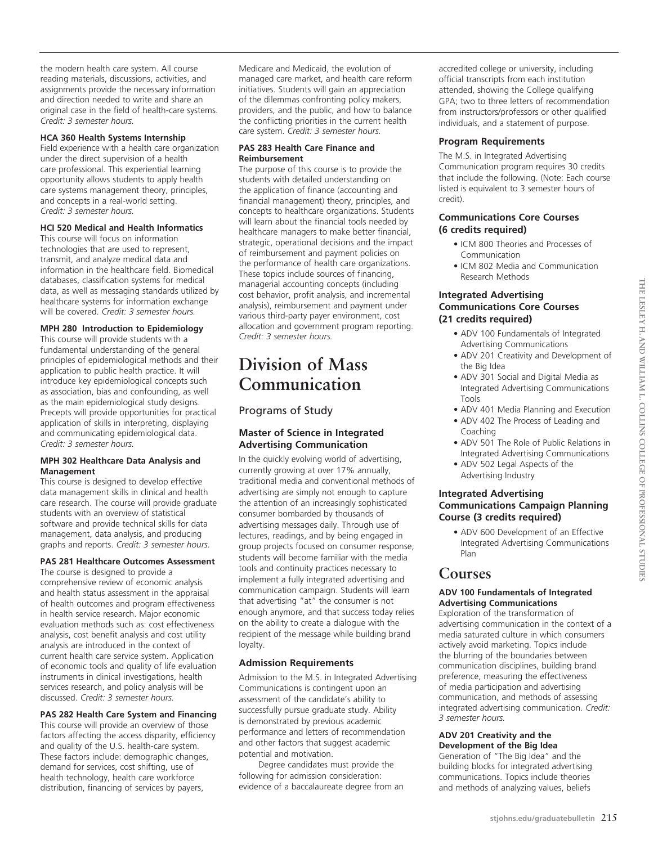the modern health care system. All course reading materials, discussions, activities, and assignments provide the necessary information and direction needed to write and share an original case in the field of health-care systems. *Credit: 3 semester hours.*

### **HCA 360 Health Systems Internship**

Field experience with a health care organization under the direct supervision of a health care professional. This experiential learning opportunity allows students to apply health care systems management theory, principles, and concepts in a real-world setting. *Credit: 3 semester hours.*

### **HCI 520 Medical and Health Informatics**

This course will focus on information technologies that are used to represent, transmit, and analyze medical data and information in the healthcare field. Biomedical databases, classification systems for medical data, as well as messaging standards utilized by healthcare systems for information exchange will be covered. *Credit: 3 semester hours.*

### **MPH 280 Introduction to Epidemiology**

This course will provide students with a fundamental understanding of the general principles of epidemiological methods and their application to public health practice. It will introduce key epidemiological concepts such as association, bias and confounding, as well as the main epidemiological study designs. Precepts will provide opportunities for practical application of skills in interpreting, displaying and communicating epidemiological data. *Credit: 3 semester hours.*

### **MPH 302 Healthcare Data Analysis and Management**

This course is designed to develop effective data management skills in clinical and health care research. The course will provide graduate students with an overview of statistical software and provide technical skills for data management, data analysis, and producing graphs and reports. *Credit: 3 semester hours.*

### **PAS 281 Healthcare Outcomes Assessment**

The course is designed to provide a comprehensive review of economic analysis and health status assessment in the appraisal of health outcomes and program effectiveness in health service research. Major economic evaluation methods such as: cost effectiveness analysis, cost benefit analysis and cost utility analysis are introduced in the context of current health care service system. Application of economic tools and quality of life evaluation instruments in clinical investigations, health services research, and policy analysis will be discussed. *Credit: 3 semester hours.*

### **PAS 282 Health Care System and Financing**

This course will provide an overview of those factors affecting the access disparity, efficiency and quality of the U.S. health-care system. These factors include: demographic changes, demand for services, cost shifting, use of health technology, health care workforce distribution, financing of services by payers,

Medicare and Medicaid, the evolution of managed care market, and health care reform initiatives. Students will gain an appreciation of the dilemmas confronting policy makers, providers, and the public, and how to balance the conflicting priorities in the current health care system. *Credit: 3 semester hours.*

### **PAS 283 Health Care Finance and Reimbursement**

The purpose of this course is to provide the students with detailed understanding on the application of finance (accounting and financial management) theory, principles, and concepts to healthcare organizations. Students will learn about the financial tools needed by healthcare managers to make better financial, strategic, operational decisions and the impact of reimbursement and payment policies on the performance of health care organizations. These topics include sources of financing, managerial accounting concepts (including cost behavior, profit analysis, and incremental analysis), reimbursement and payment under various third-party payer environment, cost allocation and government program reporting. *Credit: 3 semester hours.*

## **Division of Mass Communication**

### Programs of Study

### **Master of Science in Integrated Advertising Communication**

In the quickly evolving world of advertising, currently growing at over 17% annually, traditional media and conventional methods of advertising are simply not enough to capture the attention of an increasingly sophisticated consumer bombarded by thousands of advertising messages daily. Through use of lectures, readings, and by being engaged in group projects focused on consumer response, students will become familiar with the media tools and continuity practices necessary to implement a fully integrated advertising and communication campaign. Students will learn that advertising "at" the consumer is not enough anymore, and that success today relies on the ability to create a dialogue with the recipient of the message while building brand loyalty.

### **Admission Requirements**

Admission to the M.S. in Integrated Advertising Communications is contingent upon an assessment of the candidate's ability to successfully pursue graduate study. Ability is demonstrated by previous academic performance and letters of recommendation and other factors that suggest academic potential and motivation.

Degree candidates must provide the following for admission consideration: evidence of a baccalaureate degree from an accredited college or university, including official transcripts from each institution attended, showing the College qualifying GPA; two to three letters of recommendation from instructors/professors or other qualified individuals, and a statement of purpose.

### **Program Requirements**

The M.S. in Integrated Advertising Communication program requires 30 credits that include the following. (Note: Each course listed is equivalent to 3 semester hours of credit).

### **Communications Core Courses (6 credits required)**

- ICM 800 Theories and Processes of Communication
- ICM 802 Media and Communication Research Methods

### **Integrated Advertising Communications Core Courses (21 credits required)**

- ADV 100 Fundamentals of Integrated Advertising Communications
- ADV 201 Creativity and Development of the Big Idea
- ADV 301 Social and Digital Media as Integrated Advertising Communications Tools
- ADV 401 Media Planning and Execution
- ADV 402 The Process of Leading and Coaching
- ADV 501 The Role of Public Relations in Integrated Advertising Communications
- ADV 502 Legal Aspects of the Advertising Industry

### **Integrated Advertising Communications Campaign Planning Course (3 credits required)**

• ADV 600 Development of an Effective Integrated Advertising Communications Plan

### **Courses**

### **ADV 100 Fundamentals of Integrated Advertising Communications**

Exploration of the transformation of advertising communication in the context of a media saturated culture in which consumers actively avoid marketing. Topics include the blurring of the boundaries between communication disciplines, building brand preference, measuring the effectiveness of media participation and advertising communication, and methods of assessing integrated advertising communication. *Credit: 3 semester hours.*

#### **ADV 201 Creativity and the Development of the Big Idea**

Generation of "The Big Idea" and the building blocks for integrated advertising communications. Topics include theories and methods of analyzing values, beliefs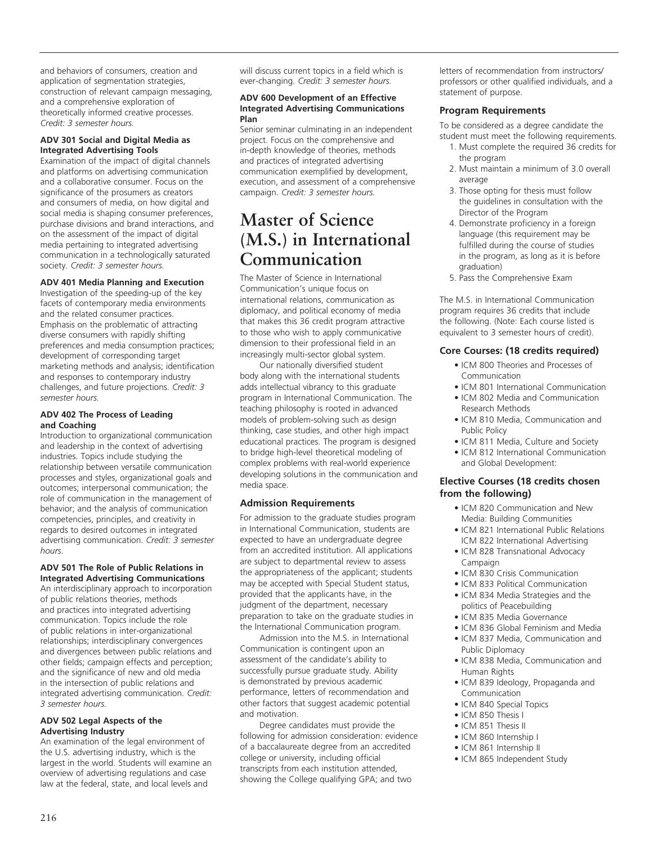and behaviors of consumers, creation and application of segmentation strategies, construction of relevant campaign messaging, and a comprehensive exploration of theoretically informed creative processes. *Credit: 3 semester hours.*

### **ADV 301 Social and Digital Media as Integrated Advertising Tools**

Examination of the impact of digital channels and platforms on advertising communication and a collaborative consumer. Focus on the significance of the prosumers as creators and consumers of media, on how digital and social media is shaping consumer preferences, purchase divisions and brand interactions, and on the assessment of the impact of digital media pertaining to integrated advertising communication in a technologically saturated society. *Credit: 3 semester hours.*

### **ADV 401 Media Planning and Execution**

Investigation of the speeding-up of the key facets of contemporary media environments and the related consumer practices. Emphasis on the problematic of attracting diverse consumers with rapidly shifting preferences and media consumption practices; development of corresponding target marketing methods and analysis; identification and responses to contemporary industry challenges, and future projections. *Credit: 3 semester hours.*

### **ADV 402 The Process of Leading and Coaching**

Introduction to organizational communication and leadership in the context of advertising industries. Topics include studying the relationship between versatile communication processes and styles, organizational goals and outcomes; interpersonal communication; the role of communication in the management of behavior; and the analysis of communication competencies, principles, and creativity in regards to desired outcomes in integrated advertising communication. *Credit: 3 semester hours.*

### **ADV 501 The Role of Public Relations in Integrated Advertising Communications**

An interdisciplinary approach to incorporation of public relations theories, methods and practices into integrated advertising communication. Topics include the role of public relations in inter-organizational relationships; interdisciplinary convergences and divergences between public relations and other fields; campaign effects and perception; and the significance of new and old media in the intersection of public relations and integrated advertising communication. *Credit: 3 semester hours.*

### **ADV 502 Legal Aspects of the Advertising Industry**

An examination of the legal environment of the U.S. advertising industry, which is the largest in the world. Students will examine an overview of advertising regulations and case law at the federal, state, and local levels and

will discuss current topics in a field which is ever-changing. *Credit: 3 semester hours.*

#### **ADV 600 Development of an Effective Integrated Advertising Communications Plan**

Senior seminar culminating in an independent project. Focus on the comprehensive and in-depth knowledge of theories, methods and practices of integrated advertising communication exemplified by development, execution, and assessment of a comprehensive campaign. *Credit: 3 semester hours.*

## **Master of Science (M.S.) in International Communication**

The Master of Science in International Communication's unique focus on international relations, communication as diplomacy, and political economy of media that makes this 36 credit program attractive to those who wish to apply communicative dimension to their professional field in an increasingly multi-sector global system.

Our nationally diversified student body along with the international students adds intellectual vibrancy to this graduate program in International Communication. The teaching philosophy is rooted in advanced models of problem-solving such as design thinking, case studies, and other high impact educational practices. The program is designed to bridge high-level theoretical modeling of complex problems with real-world experience developing solutions in the communication and media space.

### **Admission Requirements**

For admission to the graduate studies program in International Communication, students are expected to have an undergraduate degree from an accredited institution. All applications are subject to departmental review to assess the appropriateness of the applicant; students may be accepted with Special Student status, provided that the applicants have, in the judgment of the department, necessary preparation to take on the graduate studies in the International Communication program.

Admission into the M.S. in International Communication is contingent upon an assessment of the candidate's ability to successfully pursue graduate study. Ability is demonstrated by previous academic performance, letters of recommendation and other factors that suggest academic potential and motivation.

Degree candidates must provide the following for admission consideration: evidence of a baccalaureate degree from an accredited college or university, including official transcripts from each institution attended, showing the College qualifying GPA; and two

letters of recommendation from instructors/ professors or other qualified individuals, and a statement of purpose.

### **Program Requirements**

To be considered as a degree candidate the student must meet the following requirements.

- 1. Must complete the required 36 credits for the program
- 2. Must maintain a minimum of 3.0 overall average
- 3. Those opting for thesis must follow the guidelines in consultation with the Director of the Program
- 4. Demonstrate proficiency in a foreign language (this requirement may be fulfilled during the course of studies in the program, as long as it is before graduation)
- 5. Pass the Comprehensive Exam

The M.S. in International Communication program requires 36 credits that include the following. (Note: Each course listed is equivalent to 3 semester hours of credit).

### **Core Courses: (18 credits required)**

- ICM 800 Theories and Processes of Communication
- ICM 801 International Communication
- ICM 802 Media and Communication Research Methods
- ICM 810 Media, Communication and Public Policy
- ICM 811 Media, Culture and Society
- ICM 812 International Communication and Global Development:

### **Elective Courses (18 credits chosen from the following)**

- ICM 820 Communication and New Media: Building Communities
- ICM 821 International Public Relations ICM 822 International Advertising
- ICM 828 Transnational Advocacy Campaign
- ICM 830 Crisis Communication
- ICM 833 Political Communication
- ICM 834 Media Strategies and the politics of Peacebuilding
- ICM 835 Media Governance
- ICM 836 Global Feminism and Media • ICM 837 Media, Communication and Public Diplomacy
- ICM 838 Media, Communication and Human Rights
- ICM 839 Ideology, Propaganda and Communication
- ICM 840 Special Topics
- ICM 850 Thesis I
- ICM 851 Thesis II
- ICM 860 Internship I
- ICM 861 Internship II
- ICM 865 Independent Study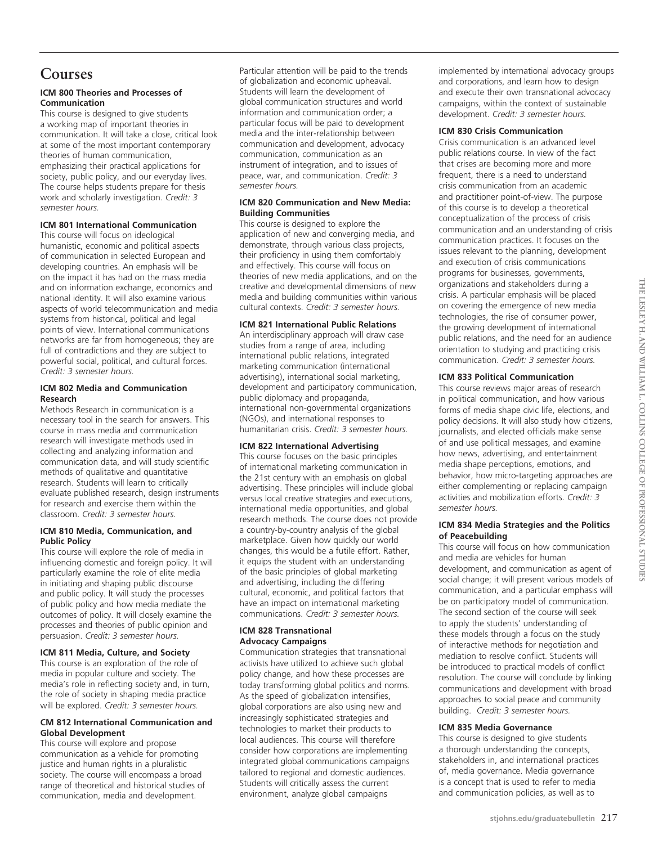### **Courses**

### **ICM 800 Theories and Processes of Communication**

This course is designed to give students a working map of important theories in communication. It will take a close, critical look at some of the most important contemporary theories of human communication, emphasizing their practical applications for society, public policy, and our everyday lives. The course helps students prepare for thesis work and scholarly investigation. *Credit: 3 semester hours.* 

### **ICM 801 International Communication**

This course will focus on ideological humanistic, economic and political aspects of communication in selected European and developing countries. An emphasis will be on the impact it has had on the mass media and on information exchange, economics and national identity. It will also examine various aspects of world telecommunication and media systems from historical, political and legal points of view. International communications networks are far from homogeneous; they are full of contradictions and they are subject to powerful social, political, and cultural forces. *Credit: 3 semester hours.* 

### **ICM 802 Media and Communication Research**

Methods Research in communication is a necessary tool in the search for answers. This course in mass media and communication research will investigate methods used in collecting and analyzing information and communication data, and will study scientific methods of qualitative and quantitative research. Students will learn to critically evaluate published research, design instruments for research and exercise them within the classroom. *Credit: 3 semester hours.*

### **ICM 810 Media, Communication, and Public Policy**

This course will explore the role of media in influencing domestic and foreign policy. It will particularly examine the role of elite media in initiating and shaping public discourse and public policy. It will study the processes of public policy and how media mediate the outcomes of policy. It will closely examine the processes and theories of public opinion and persuasion. *Credit: 3 semester hours.*

### **ICM 811 Media, Culture, and Society**

This course is an exploration of the role of media in popular culture and society. The media's role in reflecting society and, in turn, the role of society in shaping media practice will be explored. *Credit: 3 semester hours.* 

### **CM 812 International Communication and Global Development**

This course will explore and propose communication as a vehicle for promoting justice and human rights in a pluralistic society. The course will encompass a broad range of theoretical and historical studies of communication, media and development.

Particular attention will be paid to the trends of globalization and economic upheaval. Students will learn the development of global communication structures and world information and communication order; a particular focus will be paid to development media and the inter-relationship between communication and development, advocacy communication, communication as an instrument of integration, and to issues of peace, war, and communication. *Credit: 3 semester hours.*

### **ICM 820 Communication and New Media: Building Communities**

This course is designed to explore the application of new and converging media, and demonstrate, through various class projects, their proficiency in using them comfortably and effectively. This course will focus on theories of new media applications, and on the creative and developmental dimensions of new media and building communities within various cultural contexts. *Credit: 3 semester hours.* 

### **ICM 821 International Public Relations**

An interdisciplinary approach will draw case studies from a range of area, including international public relations, integrated marketing communication (international advertising), international social marketing, development and participatory communication, public diplomacy and propaganda, international non-governmental organizations (NGOs), and international responses to humanitarian crisis. *Credit: 3 semester hours.*

### **ICM 822 International Advertising**

This course focuses on the basic principles of international marketing communication in the 21st century with an emphasis on global advertising. These principles will include global versus local creative strategies and executions, international media opportunities, and global research methods. The course does not provide a country-by-country analysis of the global marketplace. Given how quickly our world changes, this would be a futile effort. Rather, it equips the student with an understanding of the basic principles of global marketing and advertising, including the differing cultural, economic, and political factors that have an impact on international marketing communications. *Credit: 3 semester hours.* 

### **ICM 828 Transnational Advocacy Campaigns**

Communication strategies that transnational activists have utilized to achieve such global policy change, and how these processes are today transforming global politics and norms. As the speed of globalization intensifies, global corporations are also using new and increasingly sophisticated strategies and technologies to market their products to local audiences. This course will therefore consider how corporations are implementing integrated global communications campaigns tailored to regional and domestic audiences. Students will critically assess the current environment, analyze global campaigns

implemented by international advocacy groups and corporations, and learn how to design and execute their own transnational advocacy campaigns, within the context of sustainable development. *Credit: 3 semester hours.*

### **ICM 830 Crisis Communication**

Crisis communication is an advanced level public relations course. In view of the fact that crises are becoming more and more frequent, there is a need to understand crisis communication from an academic and practitioner point-of-view. The purpose of this course is to develop a theoretical conceptualization of the process of crisis communication and an understanding of crisis communication practices. It focuses on the issues relevant to the planning, development and execution of crisis communications programs for businesses, governments, organizations and stakeholders during a crisis. A particular emphasis will be placed on covering the emergence of new media technologies, the rise of consumer power, the growing development of international public relations, and the need for an audience orientation to studying and practicing crisis communication. *Credit: 3 semester hours.*

### **ICM 833 Political Communication**

This course reviews major areas of research in political communication, and how various forms of media shape civic life, elections, and policy decisions. It will also study how citizens, journalists, and elected officials make sense of and use political messages, and examine how news, advertising, and entertainment media shape perceptions, emotions, and behavior, how micro-targeting approaches are either complementing or replacing campaign activities and mobilization efforts. *Credit: 3 semester hours.*

### **ICM 834 Media Strategies and the Politics of Peacebuilding**

This course will focus on how communication and media are vehicles for human development, and communication as agent of social change; it will present various models of communication, and a particular emphasis will be on participatory model of communication. The second section of the course will seek to apply the students' understanding of these models through a focus on the study of interactive methods for negotiation and mediation to resolve conflict. Students will be introduced to practical models of conflict resolution. The course will conclude by linking communications and development with broad approaches to social peace and community building. *Credit: 3 semester hours.*

### **ICM 835 Media Governance**

This course is designed to give students a thorough understanding the concepts, stakeholders in, and international practices of, media governance. Media governance is a concept that is used to refer to media and communication policies, as well as to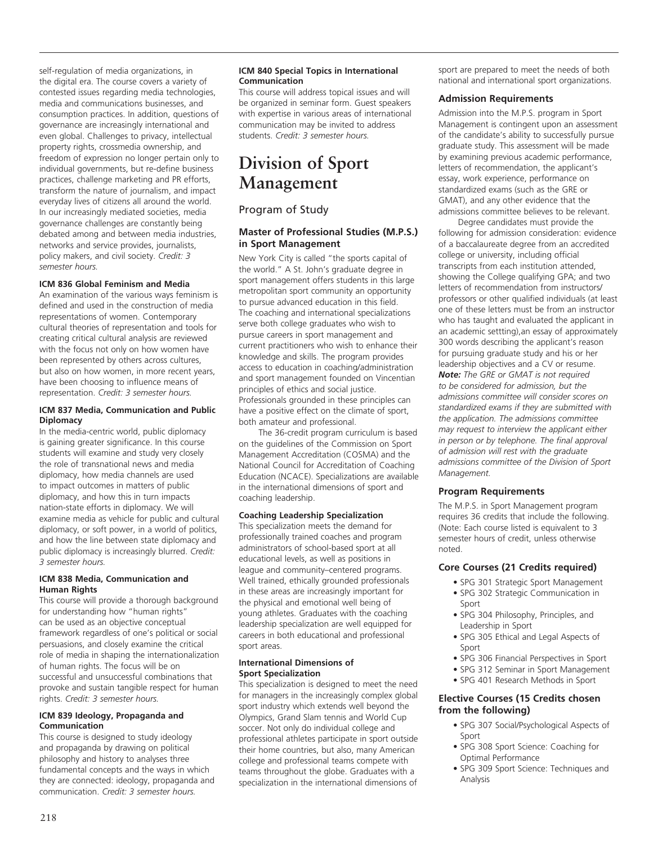self-regulation of media organizations, in the digital era. The course covers a variety of contested issues regarding media technologies, media and communications businesses, and consumption practices. In addition, questions of governance are increasingly international and even global. Challenges to privacy, intellectual property rights, crossmedia ownership, and freedom of expression no longer pertain only to individual governments, but re-define business practices, challenge marketing and PR efforts, transform the nature of journalism, and impact everyday lives of citizens all around the world. In our increasingly mediated societies, media governance challenges are constantly being debated among and between media industries, networks and service provides, journalists, policy makers, and civil society. *Credit: 3 semester hours.* 

### **ICM 836 Global Feminism and Media**

An examination of the various ways feminism is defined and used in the construction of media representations of women. Contemporary cultural theories of representation and tools for creating critical cultural analysis are reviewed with the focus not only on how women have been represented by others across cultures, but also on how women, in more recent years, have been choosing to influence means of representation. *Credit: 3 semester hours.*

### **ICM 837 Media, Communication and Public Diplomacy**

In the media-centric world, public diplomacy is gaining greater significance. In this course students will examine and study very closely the role of transnational news and media diplomacy, how media channels are used to impact outcomes in matters of public diplomacy, and how this in turn impacts nation-state efforts in diplomacy. We will examine media as vehicle for public and cultural diplomacy, or soft power, in a world of politics, and how the line between state diplomacy and public diplomacy is increasingly blurred. *Credit: 3 semester hours.* 

### **ICM 838 Media, Communication and Human Rights**

This course will provide a thorough background for understanding how "human rights" can be used as an objective conceptual framework regardless of one's political or social persuasions, and closely examine the critical role of media in shaping the internationalization of human rights. The focus will be on successful and unsuccessful combinations that provoke and sustain tangible respect for human rights. *Credit: 3 semester hours.* 

#### **ICM 839 Ideology, Propaganda and Communication**

This course is designed to study ideology and propaganda by drawing on political philosophy and history to analyses three fundamental concepts and the ways in which they are connected: ideology, propaganda and communication. *Credit: 3 semester hours.*

### **ICM 840 Special Topics in International Communication**

This course will address topical issues and will be organized in seminar form. Guest speakers with expertise in various areas of international communication may be invited to address students. *Credit: 3 semester hours.*

## **Division of Sport Management**

### Program of Study

### **Master of Professional Studies (M.P.S.) in Sport Management**

New York City is called "the sports capital of the world." A St. John's graduate degree in sport management offers students in this large metropolitan sport community an opportunity to pursue advanced education in this field. The coaching and international specializations serve both college graduates who wish to pursue careers in sport management and current practitioners who wish to enhance their knowledge and skills. The program provides access to education in coaching/administration and sport management founded on Vincentian principles of ethics and social justice. Professionals grounded in these principles can have a positive effect on the climate of sport, both amateur and professional.

The 36-credit program curriculum is based on the guidelines of the Commission on Sport Management Accreditation (COSMA) and the National Council for Accreditation of Coaching Education (NCACE). Specializations are available in the international dimensions of sport and coaching leadership.

### **Coaching Leadership Specialization**

This specialization meets the demand for professionally trained coaches and program administrators of school-based sport at all educational levels, as well as positions in league and community–centered programs. Well trained, ethically grounded professionals in these areas are increasingly important for the physical and emotional well being of young athletes. Graduates with the coaching leadership specialization are well equipped for careers in both educational and professional sport areas.

### **International Dimensions of Sport Specialization**

This specialization is designed to meet the need for managers in the increasingly complex global sport industry which extends well beyond the Olympics, Grand Slam tennis and World Cup soccer. Not only do individual college and professional athletes participate in sport outside their home countries, but also, many American college and professional teams compete with teams throughout the globe. Graduates with a specialization in the international dimensions of

sport are prepared to meet the needs of both national and international sport organizations.

### **Admission Requirements**

Admission into the M.P.S. program in Sport Management is contingent upon an assessment of the candidate's ability to successfully pursue graduate study. This assessment will be made by examining previous academic performance, letters of recommendation, the applicant's essay, work experience, performance on standardized exams (such as the GRE or GMAT), and any other evidence that the admissions committee believes to be relevant.

Degree candidates must provide the following for admission consideration: evidence of a baccalaureate degree from an accredited college or university, including official transcripts from each institution attended, showing the College qualifying GPA; and two letters of recommendation from instructors/ professors or other qualified individuals (at least one of these letters must be from an instructor who has taught and evaluated the applicant in an academic settting),an essay of approximately 300 words describing the applicant's reason for pursuing graduate study and his or her leadership objectives and a CV or resume. *Note: The GRE or GMAT is not required to be considered for admission, but the admissions committee will consider scores on standardized exams if they are submitted with the application. The admissions committee may request to interview the applicant either in person or by telephone. The final approval of admission will rest with the graduate admissions committee of the Division of Sport Management.*

### **Program Requirements**

The M.P.S. in Sport Management program requires 36 credits that include the following. (Note: Each course listed is equivalent to 3 semester hours of credit, unless otherwise noted.

### **Core Courses (21 Credits required)**

- SPG 301 Strategic Sport Management
- SPG 302 Strategic Communication in Sport
- SPG 304 Philosophy, Principles, and Leadership in Sport
- SPG 305 Ethical and Legal Aspects of Sport
- SPG 306 Financial Perspectives in Sport
- SPG 312 Seminar in Sport Management
- SPG 401 Research Methods in Sport

### **Elective Courses (15 Credits chosen from the following)**

- SPG 307 Social/Psychological Aspects of Sport
- SPG 308 Sport Science: Coaching for Optimal Performance
- SPG 309 Sport Science: Techniques and Analysis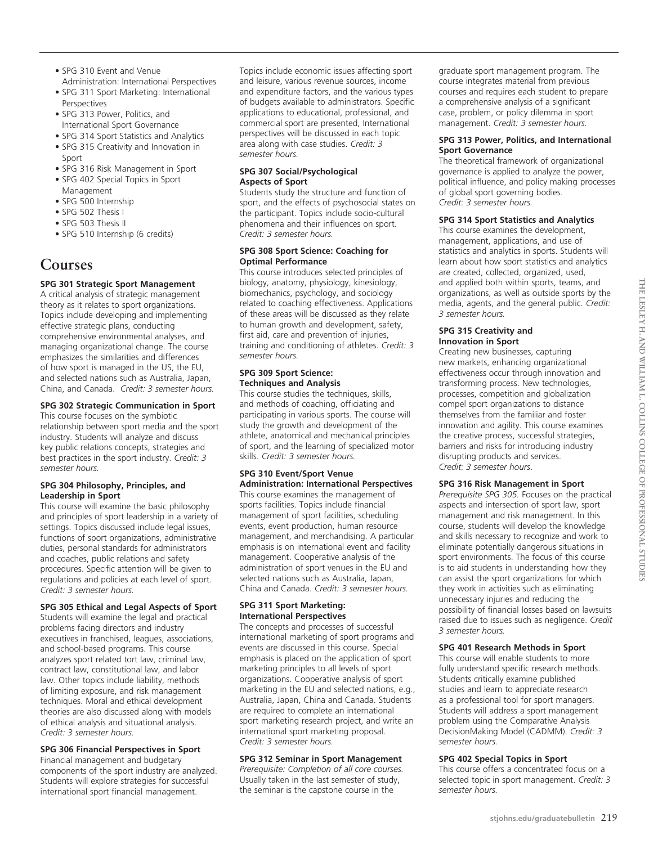- SPG 310 Event and Venue
- Administration: International Perspectives • SPG 311 Sport Marketing: International Perspectives
- SPG 313 Power, Politics, and International Sport Governance
- SPG 314 Sport Statistics and Analytics
- SPG 315 Creativity and Innovation in Sport
- SPG 316 Risk Management in Sport
- SPG 402 Special Topics in Sport Management
- SPG 500 Internship
- SPG 502 Thesis I
- SPG 503 Thesis II
- SPG 510 Internship (6 credits)

## **Courses**

### **SPG 301 Strategic Sport Management**

A critical analysis of strategic management theory as it relates to sport organizations. Topics include developing and implementing effective strategic plans, conducting comprehensive environmental analyses, and managing organizational change. The course emphasizes the similarities and differences of how sport is managed in the US, the EU, and selected nations such as Australia, Japan, China, and Canada. *Credit: 3 semester hours.* 

### **SPG 302 Strategic Communication in Sport**

This course focuses on the symbiotic relationship between sport media and the sport industry. Students will analyze and discuss key public relations concepts, strategies and best practices in the sport industry. *Credit: 3 semester hours.* 

### **SPG 304 Philosophy, Principles, and Leadership in Sport**

This course will examine the basic philosophy and principles of sport leadership in a variety of settings. Topics discussed include legal issues, functions of sport organizations, administrative duties, personal standards for administrators and coaches, public relations and safety procedures. Specific attention will be given to regulations and policies at each level of sport. *Credit: 3 semester hours.* 

### **SPG 305 Ethical and Legal Aspects of Sport**

Students will examine the legal and practical problems facing directors and industry executives in franchised, leagues, associations, and school-based programs. This course analyzes sport related tort law, criminal law, contract law, constitutional law, and labor law. Other topics include liability, methods of limiting exposure, and risk management techniques. Moral and ethical development theories are also discussed along with models of ethical analysis and situational analysis. *Credit: 3 semester hours.*

### **SPG 306 Financial Perspectives in Sport**

Financial management and budgetary components of the sport industry are analyzed. Students will explore strategies for successful international sport financial management.

Topics include economic issues affecting sport and leisure, various revenue sources, income and expenditure factors, and the various types of budgets available to administrators. Specific applications to educational, professional, and commercial sport are presented, International perspectives will be discussed in each topic area along with case studies. *Credit: 3 semester hours.* 

### **SPG 307 Social/Psychological Aspects of Sport**

Students study the structure and function of sport, and the effects of psychosocial states on the participant. Topics include socio-cultural phenomena and their influences on sport. *Credit: 3 semester hours.*

### **SPG 308 Sport Science: Coaching for Optimal Performance**

This course introduces selected principles of biology, anatomy, physiology, kinesiology, biomechanics, psychology, and sociology related to coaching effectiveness. Applications of these areas will be discussed as they relate to human growth and development, safety, first aid, care and prevention of injuries, training and conditioning of athletes. *Credit: 3 semester hours.* 

### **SPG 309 Sport Science: Techniques and Analysis**

This course studies the techniques, skills, and methods of coaching, officiating and participating in various sports. The course will study the growth and development of the athlete, anatomical and mechanical principles of sport, and the learning of specialized motor skills. *Credit: 3 semester hours.* 

### **SPG 310 Event/Sport Venue Administration: International Perspectives**

This course examines the management of sports facilities. Topics include financial management of sport facilities, scheduling events, event production, human resource management, and merchandising. A particular emphasis is on international event and facility management. Cooperative analysis of the administration of sport venues in the EU and selected nations such as Australia, Japan, China and Canada. *Credit: 3 semester hours.*

### **SPG 311 Sport Marketing: International Perspectives**

The concepts and processes of successful international marketing of sport programs and events are discussed in this course. Special emphasis is placed on the application of sport marketing principles to all levels of sport organizations. Cooperative analysis of sport marketing in the EU and selected nations, e.g., Australia, Japan, China and Canada. Students are required to complete an international sport marketing research project, and write an international sport marketing proposal. *Credit: 3 semester hours.* 

### **SPG 312 Seminar in Sport Management**

*Prerequisite: Completion of all core courses.* Usually taken in the last semester of study, the seminar is the capstone course in the

graduate sport management program. The course integrates material from previous courses and requires each student to prepare a comprehensive analysis of a significant case, problem, or policy dilemma in sport management. *Credit: 3 semester hours.* 

### **SPG 313 Power, Politics, and International Sport Governance**

The theoretical framework of organizational governance is applied to analyze the power, political influence, and policy making processes of global sport governing bodies. *Credit: 3 semester hours.*

### **SPG 314 Sport Statistics and Analytics**

This course examines the development, management, applications, and use of statistics and analytics in sports. Students will learn about how sport statistics and analytics are created, collected, organized, used, and applied both within sports, teams, and organizations, as well as outside sports by the media, agents, and the general public. *Credit: 3 semester hours.* 

### **SPG 315 Creativity and Innovation in Sport**

Creating new businesses, capturing new markets, enhancing organizational effectiveness occur through innovation and transforming process. New technologies, processes, competition and globalization compel sport organizations to distance themselves from the familiar and foster innovation and agility. This course examines the creative process, successful strategies, barriers and risks for introducing industry disrupting products and services. *Credit: 3 semester hours*.

### **SPG 316 Risk Management in Sport**

*Prerequisite SPG 305.* Focuses on the practical aspects and intersection of sport law, sport management and risk management. In this course, students will develop the knowledge and skills necessary to recognize and work to eliminate potentially dangerous situations in sport environments. The focus of this course is to aid students in understanding how they can assist the sport organizations for which they work in activities such as eliminating unnecessary injuries and reducing the possibility of financial losses based on lawsuits raised due to issues such as negligence. *Credit 3 semester hours.*

### **SPG 401 Research Methods in Sport**

This course will enable students to more fully understand specific research methods. Students critically examine published studies and learn to appreciate research as a professional tool for sport managers. Students will address a sport management problem using the Comparative Analysis DecisionMaking Model (CADMM). *Credit: 3 semester hours.* 

### **SPG 402 Special Topics in Sport**

This course offers a concentrated focus on a selected topic in sport management. *Credit: 3 semester hours.*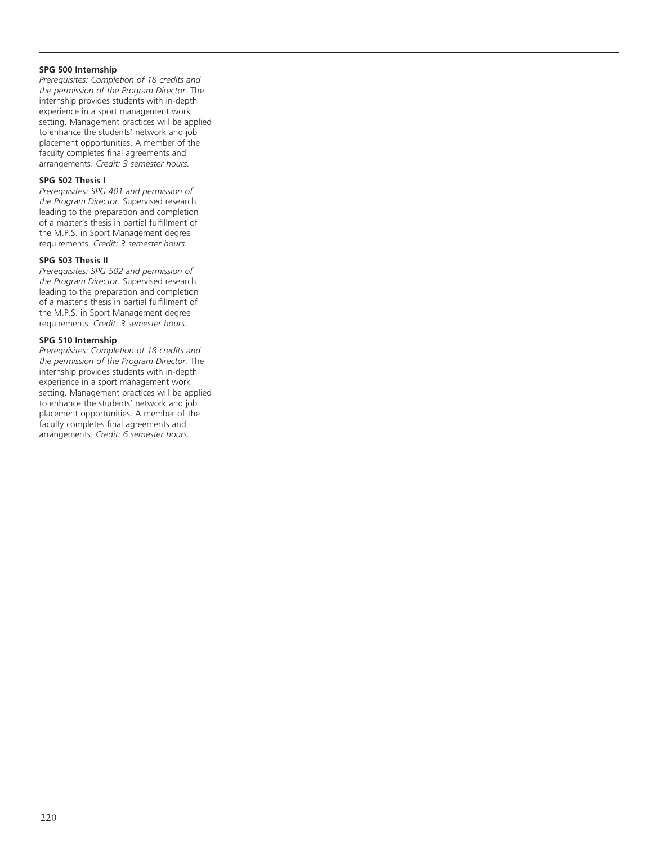### **SPG 500 Internship**

*Prerequisites: Completion of 18 credits and the permission of the Program Director.* The internship provides students with in-depth experience in a sport management work setting. Management practices will be applied to enhance the students' network and job placement opportunities. A member of the faculty completes final agreements and arrangements. *Credit: 3 semester hours.* 

### **SPG 502 Thesis I**

*Prerequisites: SPG 401 and permission of the Program Director.* Supervised research leading to the preparation and completion of a master's thesis in partial fulfillment of the M.P.S. in Sport Management degree requirements. *Credit: 3 semester hours.* 

### **SPG 503 Thesis II**

*Prerequisites: SPG 502 and permission of the Program Director.* Supervised research leading to the preparation and completion of a master's thesis in partial fulfillment of the M.P.S. in Sport Management degree requirements. *Credit: 3 semester hours.*

### **SPG 510 Internship**

*Prerequisites: Completion of 18 credits and the permission of the Program Director.* The internship provides students with in-depth experience in a sport management work setting. Management practices will be applied to enhance the students' network and job placement opportunities. A member of the faculty completes final agreements and arrangements. *Credit: 6 semester hours.*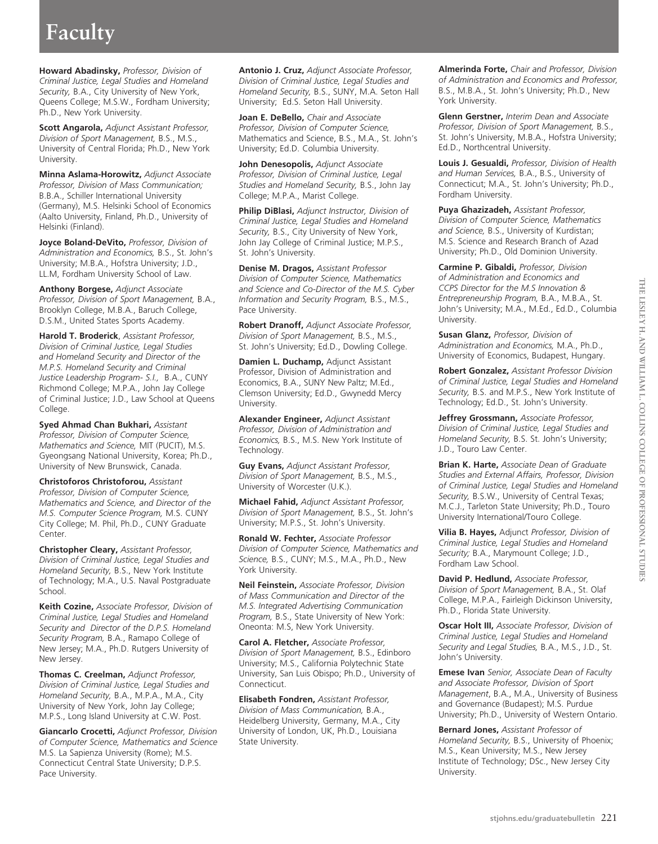# **Faculty**

**Howard Abadinsky,** *Professor, Division of Criminal Justice, Legal Studies and Homeland Security,* B.A., City University of New York, Queens College; M.S.W., Fordham University; Ph.D., New York University.

**Scott Angarola,** *Adjunct Assistant Professor, Division of Sport Management,* B.S., M.S., University of Central Florida; Ph.D., New York University.

**Minna Aslama-Horowitz,** *Adjunct Associate Professor, Division of Mass Communication;*  B.B.A., Schiller International University (Germany), M.S. Helsinki School of Economics (Aalto University, Finland, Ph.D., University of Helsinki (Finland).

**Joyce Boland-DeVito,** *Professor, Division of Administration and Economics,* B.S., St. John's University; M.B.A., Hofstra University; J.D., LL.M, Fordham University School of Law.

**Anthony Borgese,** *Adjunct Associate Professor, Division of Sport Management,* B.A., Brooklyn College, M.B.A., Baruch College, D.S.M., United States Sports Academy.

**Harold T. Broderick**, *Assistant Professor, Division of Criminal Justice, Legal Studies and Homeland Security and Director of the M.P.S. Homeland Security and Criminal Justice Leadership Program- S.I.,* B.A., CUNY Richmond College; M.P.A., John Jay College of Criminal Justice; J.D., Law School at Queens College.

**Syed Ahmad Chan Bukhari,** *Assistant Professor, Division of Computer Science, Mathematics and Science,* MIT (PUCIT), M.S. Gyeongsang National University, Korea; Ph.D., University of New Brunswick, Canada.

**Christoforos Christoforou,** *Assistant Professor, Division of Computer Science, Mathematics and Science, and Director of the M.S. Computer Science Program,* M.S. CUNY City College; M. Phil, Ph.D., CUNY Graduate Center.

**Christopher Cleary,** *Assistant Professor, Division of Criminal Justice, Legal Studies and Homeland Security,* B.S., New York Institute of Technology; M.A., U.S. Naval Postgraduate School.

**Keith Cozine,** *Associate Professor, Division of Criminal Justice, Legal Studies and Homeland Security and Director of the D.P.S. Homeland Security Program,* B.A., Ramapo College of New Jersey; M.A., Ph.D. Rutgers University of New Jersey.

**Thomas C. Creelman,** *Adjunct Professor, Division of Criminal Justice, Legal Studies and Homeland Security,* B.A., M.P.A., M.A., City University of New York, John Jay College; M.P.S., Long Island University at C.W. Post.

**Giancarlo Crocetti,** *Adjunct Professor, Division of Computer Science, Mathematics and Science* M.S. La Sapienza University (Rome); M.S. Connecticut Central State University; D.P.S. Pace University.

**Antonio J. Cruz,** *Adjunct Associate Professor, Division of Criminal Justice, Legal Studies and Homeland Security,* B.S., SUNY, M.A. Seton Hall University; Ed.S. Seton Hall University.

**Joan E. DeBello,** *Chair and Associate Professor, Division of Computer Science,* Mathematics and Science, B.S., M.A., St. John's University; Ed.D. Columbia University.

**John Denesopolis,** *Adjunct Associate Professor, Division of Criminal Justice, Legal Studies and Homeland Security,* B.S., John Jay College; M.P.A., Marist College.

**Philip DiBlasi,** *Adjunct Instructor, Division of Criminal Justice, Legal Studies and Homeland Security,* B.S., City University of New York, John Jay College of Criminal Justice; M.P.S., St. John's University.

**Denise M. Dragos,** *Assistant Professor Division of Computer Science, Mathematics and Science and Co-Director of the M.S. Cyber Information and Security Program,* B.S., M.S., Pace University.

**Robert Dranoff,** *Adjunct Associate Professor, Division of Sport Management,* B.S., M.S., St. John's University; Ed.D., Dowling College.

**Damien L. Duchamp,** Adjunct Assistant Professor, Division of Administration and Economics, B.A., SUNY New Paltz; M.Ed., Clemson University; Ed.D., Gwynedd Mercy University.

**Alexander Engineer,** *Adjunct Assistant Professor, Division of Administration and Economics,* B.S., M.S. New York Institute of Technology.

**Guy Evans,** *Adjunct Assistant Professor, Division of Sport Management,* B.S., M.S., University of Worcester (U.K.).

**Michael Fahid,** *Adjunct Assistant Professor, Division of Sport Management,* B.S., St. John's University; M.P.S., St. John's University.

**Ronald W. Fechter,** *Associate Professor Division of Computer Science, Mathematics and Science,* B.S., CUNY; M.S., M.A., Ph.D., New York University.

**Neil Feinstein,** *Associate Professor, Division of Mass Communication and Director of the M.S. Integrated Advertising Communication Program,* B.S., State University of New York: Oneonta: M.S, New York University.

**Carol A. Fletcher,** *Associate Professor, Division of Sport Management,* B.S., Edinboro University; M.S., California Polytechnic State University, San Luis Obispo; Ph.D., University of Connecticut.

**Elisabeth Fondren,** *Assistant Professor, Division of Mass Communication,* B.A., Heidelberg University, Germany, M.A., City University of London, UK, Ph.D., Louisiana State University.

**Almerinda Forte,** *Chair and Professor, Division of Administration and Economics and Professor,*  B.S., M.B.A., St. John's University; Ph.D., New York University.

**Glenn Gerstner,** *Interim Dean and Associate Professor, Division of Sport Management,* B.S., St. John's University, M.B.A., Hofstra University; Ed.D., Northcentral University.

**Louis J. Gesualdi,** *Professor, Division of Health and Human Services,* B.A., B.S., University of Connecticut; M.A., St. John's University; Ph.D., Fordham University.

**Puya Ghazizadeh,** *Assistant Professor, Division of Computer Science, Mathematics and Science,* B.S., University of Kurdistan; M.S. Science and Research Branch of Azad University; Ph.D., Old Dominion University.

**Carmine P. Gibaldi,** *Professor, Division of Administration and Economics and CCPS Director for the M.S Innovation & Entrepreneurship Program,* B.A., M.B.A., St. John's University; M.A., M.Ed., Ed.D., Columbia University.

**Susan Glanz,** *Professor, Division of Administration and Economics,* M.A., Ph.D., University of Economics, Budapest, Hungary.

**Robert Gonzalez,** *Assistant Professor Division of Criminal Justice, Legal Studies and Homeland Security,* B.S. and M.P.S., New York Institute of Technology; Ed.D., St. John's University.

**Jeffrey Grossmann,** *Associate Professor, Division of Criminal Justice, Legal Studies and Homeland Security,* B.S. St. John's University; J.D., Touro Law Center.

**Brian K. Harte,** *Associate Dean of Graduate Studies and External Affairs, Professor, Division of Criminal Justice, Legal Studies and Homeland Security,* B.S.W., University of Central Texas; M.C.J., Tarleton State University; Ph.D., Touro University International/Touro College.

**Vilia B. Hayes,** Adjunct *Professor, Division of Criminal Justice, Legal Studies and Homeland Security;* B.A., Marymount College; J.D., Fordham Law School.

**David P. Hedlund,** *Associate Professor, Division of Sport Management,* B.A., St. Olaf College, M.P.A., Fairleigh Dickinson University, Ph.D., Florida State University.

**Oscar Holt III,** *Associate Professor, Division of Criminal Justice, Legal Studies and Homeland Security and Legal Studies,* B.A., M.S., J.D., St. John's University.

**Emese Ivan** *Senior, Associate Dean of Faculty and Associate Professor, Division of Sport Management*, B.A., M.A., University of Business and Governance (Budapest); M.S. Purdue University; Ph.D., University of Western Ontario.

**Bernard Jones,** *Assistant Professor of Homeland Security,* B.S., University of Phoenix; M.S., Kean University; M.S., New Jersey Institute of Technology; DSc., New Jersey City University.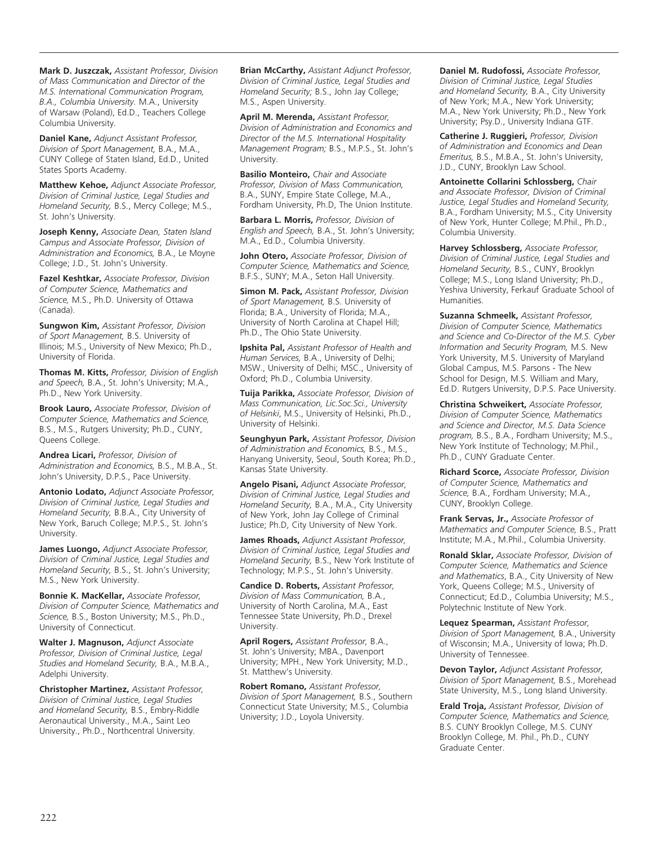**Mark D. Juszczak,** *Assistant Professor, Division of Mass Communication and Director of the M.S. International Communication Program, B.A., Columbia University.* M.A., University of Warsaw (Poland), Ed.D., Teachers College Columbia University.

**Daniel Kane,** *Adjunct Assistant Professor, Division of Sport Management,* B.A., M.A., CUNY College of Staten Island, Ed.D., United States Sports Academy.

**Matthew Kehoe,** *Adjunct Associate Professor, Division of Criminal Justice, Legal Studies and Homeland Security,* B.S., Mercy College; M.S., St. John's University.

**Joseph Kenny,** *Associate Dean, Staten Island Campus and Associate Professor, Division of Administration and Economics,* B.A., Le Moyne College; J.D., St. John's University.

**Fazel Keshtkar,** *Associate Professor, Division of Computer Science, Mathematics and Science,* M.S., Ph.D. University of Ottawa (Canada).

**Sungwon Kim,** *Assistant Professor, Division of Sport Management,* B.S. University of Illinois; M.S., University of New Mexico; Ph.D., University of Florida.

**Thomas M. Kitts,** *Professor, Division of English and Speech,* B.A., St. John's University; M.A., Ph.D., New York University.

**Brook Lauro,** *Associate Professor, Division of Computer Science, Mathematics and Science,* B.S., M.S., Rutgers University; Ph.D., CUNY, Queens College.

**Andrea Licari,** *Professor, Division of Administration and Economics,* B.S., M.B.A., St. John's University, D.P.S., Pace University.

**Antonio Lodato,** *Adjunct Associate Professor, Division of Criminal Justice, Legal Studies and Homeland Security,* B.B.A., City University of New York, Baruch College; M.P.S., St. John's University.

**James Luongo,** *Adjunct Associate Professor, Division of Criminal Justice, Legal Studies and Homeland Security,* B.S., St. John's University; M.S., New York University.

**Bonnie K. MacKellar,** *Associate Professor, Division of Computer Science, Mathematics and Science,* B.S., Boston University; M.S., Ph.D., University of Connecticut.

**Walter J. Magnuson,** *Adjunct Associate Professor, Division of Criminal Justice, Legal Studies and Homeland Security,* B.A., M.B.A., Adelphi University.

**Christopher Martinez,** *Assistant Professor, Division of Criminal Justice, Legal Studies and Homeland Security,* B.S., Embry-Riddle Aeronautical University., M.A., Saint Leo University., Ph.D., Northcentral University.

**Brian McCarthy,** *Assistant Adjunct Professor, Division of Criminal Justice, Legal Studies and Homeland Security;* B.S., John Jay College; M.S., Aspen University.

**April M. Merenda,** *Assistant Professor, Division of Administration and Economics and Director of the M.S. International Hospitality Management Program;* B.S., M.P.S., St. John's University.

**Basilio Monteiro,** *Chair and Associate Professor, Division of Mass Communication,*  B.A., SUNY, Empire State College, M.A., Fordham University, Ph.D, The Union Institute.

**Barbara L. Morris,** *Professor, Division of English and Speech,* B.A., St. John's University; M.A., Ed.D., Columbia University.

**John Otero,** *Associate Professor, Division of Computer Science, Mathematics and Science,* B.F.S., SUNY; M.A., Seton Hall University.

**Simon M. Pack,** *Assistant Professor, Division of Sport Management,* B.S. University of Florida; B.A., University of Florida; M.A., University of North Carolina at Chapel Hill; Ph.D., The Ohio State University.

**Ipshita Pal,** *Assistant Professor of Health and Human Services,* B.A., University of Delhi; MSW., University of Delhi; MSC., University of Oxford; Ph.D., Columbia University.

**Tuija Parikka,** *Associate Professor, Division of Mass Communication, Lic.Soc.Sci., University of Helsinki*, M.S., University of Helsinki, Ph.D., University of Helsinki.

**Seunghyun Park,** *Assistant Professor, Division of Administration and Economics,* B.S., M.S., Hanyang University, Seoul, South Korea; Ph.D., Kansas State University.

**Angelo Pisani,** *Adjunct Associate Professor, Division of Criminal Justice, Legal Studies and Homeland Security,* B.A., M.A., City University of New York, John Jay College of Criminal Justice; Ph.D, City University of New York.

**James Rhoads,** *Adjunct Assistant Professor, Division of Criminal Justice, Legal Studies and Homeland Security,* B.S., New York Institute of Technology; M.P.S., St. John's University.

**Candice D. Roberts,** *Assistant Professor, Division of Mass Communication,* B.A., University of North Carolina, M.A., East Tennessee State University, Ph.D., Drexel University.

**April Rogers,** *Assistant Professor,* B.A., St. John's University; MBA., Davenport University; MPH., New York University; M.D., St. Matthew's University.

**Robert Romano,** *Assistant Professor, Division of Sport Management,* B.S., Southern Connecticut State University; M.S., Columbia University; J.D., Loyola University.

**Daniel M. Rudofossi,** *Associate Professor, Division of Criminal Justice, Legal Studies and Homeland Security,* B.A., City University of New York; M.A., New York University; M.A., New York University; Ph.D., New York University; Psy.D., University Indiana GTF.

**Catherine J. Ruggieri,** *Professor, Division of Administration and Economics and Dean Emeritus,* B.S., M.B.A., St. John's University, J.D., CUNY, Brooklyn Law School.

**Antoinette Collarini Schlossberg,** *Chair and Associate Professor, Division of Criminal Justice, Legal Studies and Homeland Security,* B.A., Fordham University; M.S., City University of New York, Hunter College; M.Phil., Ph.D., Columbia University.

**Harvey Schlossberg,** *Associate Professor, Division of Criminal Justice, Legal Studies and Homeland Security,* B.S., CUNY, Brooklyn College; M.S., Long Island University; Ph.D., Yeshiva University, Ferkauf Graduate School of Humanities.

**Suzanna Schmeelk,** *Assistant Professor, Division of Computer Science, Mathematics and Science and Co-Director of the M.S. Cyber Information and Security Program,* M.S. New York University, M.S. University of Maryland Global Campus, M.S. Parsons - The New School for Design, M.S. William and Mary, Ed.D. Rutgers University, D.P.S. Pace University.

**Christina Schweikert,** *Associate Professor, Division of Computer Science, Mathematics and Science and Director, M.S. Data Science program,* B.S., B.A., Fordham University; M.S., New York Institute of Technology; M.Phil., Ph.D., CUNY Graduate Center.

**Richard Scorce,** *Associate Professor, Division of Computer Science, Mathematics and Science,* B.A., Fordham University; M.A., CUNY, Brooklyn College.

**Frank Servas, Jr.,** *Associate Professor of Mathematics and Computer Science,* B.S., Pratt Institute; M.A., M.Phil., Columbia University.

**Ronald Sklar,** *Associate Professor, Division of Computer Science, Mathematics and Science and Mathematics*, B.A., City University of New York, Queens College; M.S., University of Connecticut; Ed.D., Columbia University; M.S., Polytechnic Institute of New York.

**Lequez Spearman,** *Assistant Professor, Division of Sport Management,* B.A., University of Wisconsin; M.A., University of Iowa; Ph.D. University of Tennessee.

**Devon Taylor,** *Adjunct Assistant Professor, Division of Sport Management,* B.S., Morehead State University, M.S., Long Island University.

**Erald Troja,** *Assistant Professor, Division of Computer Science, Mathematics and Science,* B.S. CUNY Brooklyn College, M.S. CUNY Brooklyn College, M. Phil., Ph.D., CUNY Graduate Center.